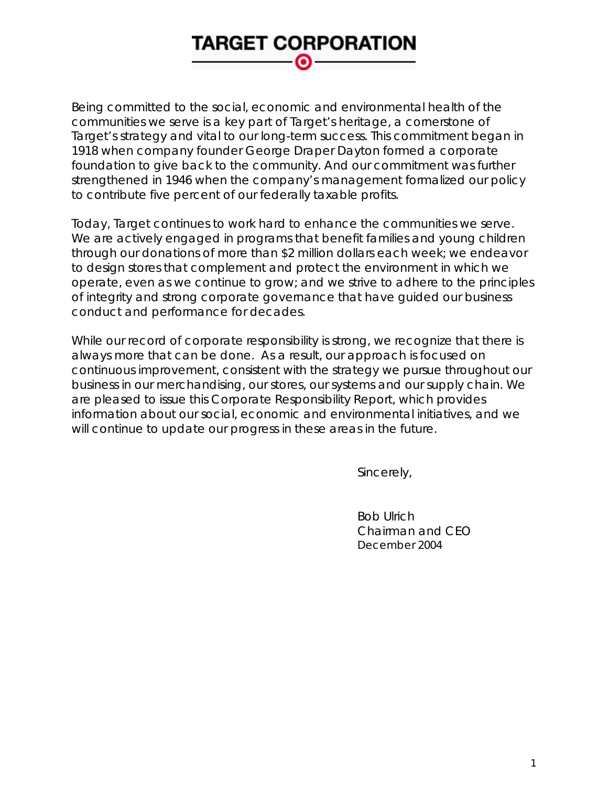# **TARGET CORPORATION** െ

Being committed to the social, economic and environmental health of the communities we serve is a key part of Target's heritage, a cornerstone of Target's strategy and vital to our long-term success. This commitment began in 1918 when company founder George Draper Dayton formed a corporate foundation to give back to the community. And our commitment was further strengthened in 1946 when the company's management formalized our policy to contribute five percent of our federally taxable profits.

Today, Target continues to work hard to enhance the communities we serve. We are actively engaged in programs that benefit families and young children through our donations of more than \$2 million dollars each week; we endeavor to design stores that complement and protect the environment in which we operate, even as we continue to grow; and we strive to adhere to the principles of integrity and strong corporate governance that have guided our business conduct and performance for decades.

While our record of corporate responsibility is strong, we recognize that there is always more that can be done. As a result, our approach is focused on continuous improvement, consistent with the strategy we pursue throughout our business in our merchandising, our stores, our systems and our supply chain. We are pleased to issue this Corporate Responsibility Report, which provides information about our social, economic and environmental initiatives, and we will continue to update our progress in these areas in the future.

Sincerely,

 Bob Ulrich Chairman and CEO *December 2004*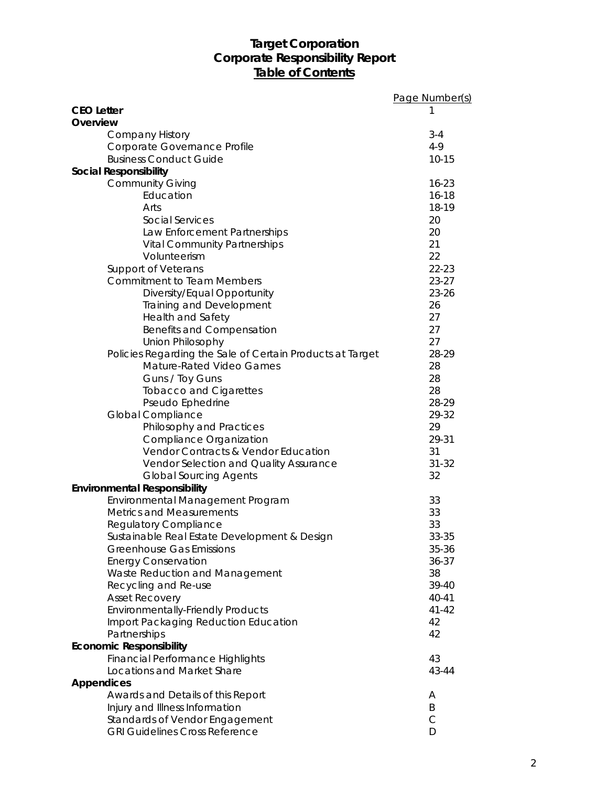# **Target Corporation Corporate Responsibility Report Table of Contents**

|                                                           | Page Number(s) |
|-----------------------------------------------------------|----------------|
| <b>CEO Letter</b>                                         | 1              |
| Overview                                                  |                |
| <b>Company History</b>                                    | $3 - 4$        |
| Corporate Governance Profile                              | $4-9$          |
| <b>Business Conduct Guide</b>                             | $10 - 15$      |
| Social Responsibility                                     |                |
| <b>Community Giving</b>                                   | $16 - 23$      |
| Education                                                 | $16 - 18$      |
| Arts                                                      | 18-19          |
| Social Services                                           | 20             |
| Law Enforcement Partnerships                              | 20             |
| <b>Vital Community Partnerships</b>                       | 21             |
| Volunteerism                                              | 22             |
| Support of Veterans                                       | 22-23          |
| <b>Commitment to Team Members</b>                         | $23 - 27$      |
| Diversity/Equal Opportunity                               | 23-26          |
| Training and Development                                  | 26             |
| Health and Safety                                         | 27             |
| Benefits and Compensation                                 | 27             |
| Union Philosophy                                          | 27             |
| Policies Regarding the Sale of Certain Products at Target | 28-29          |
| <b>Mature-Rated Video Games</b>                           | 28             |
| Guns / Toy Guns                                           | 28             |
| <b>Tobacco and Cigarettes</b>                             | 28             |
| Pseudo Ephedrine                                          | 28-29          |
| Global Compliance                                         | 29-32          |
| Philosophy and Practices                                  | 29             |
| Compliance Organization                                   | 29-31          |
| Vendor Contracts & Vendor Education                       | 31             |
| Vendor Selection and Quality Assurance                    | $31 - 32$      |
| <b>Global Sourcing Agents</b>                             | 32             |
| Environmental Responsibility                              |                |
| Environmental Management Program                          | 33             |
| <b>Metrics and Measurements</b>                           | 33             |
| <b>Regulatory Compliance</b>                              | 33             |
| Sustainable Real Estate Development & Design              | 33-35          |
| <b>Greenhouse Gas Emissions</b>                           | 35-36          |
| <b>Energy Conservation</b>                                | $36 - 37$      |
| Waste Reduction and Management                            | 38             |
| Recycling and Re-use                                      | 39-40          |
| <b>Asset Recovery</b>                                     | 40-41          |
| <b>Environmentally-Friendly Products</b>                  | $41 - 42$      |
| Import Packaging Reduction Education                      | 42             |
| Partnerships                                              | 42             |
| <b>Economic Responsibility</b>                            |                |
| <b>Financial Performance Highlights</b>                   | 43             |
| Locations and Market Share                                | 43-44          |
| <b>Appendices</b>                                         |                |
| Awards and Details of this Report                         | A              |
| Injury and Illness Information                            | Β              |
| Standards of Vendor Engagement                            | $\mathsf{C}$   |
| <b>GRI Guidelines Cross Reference</b>                     | D              |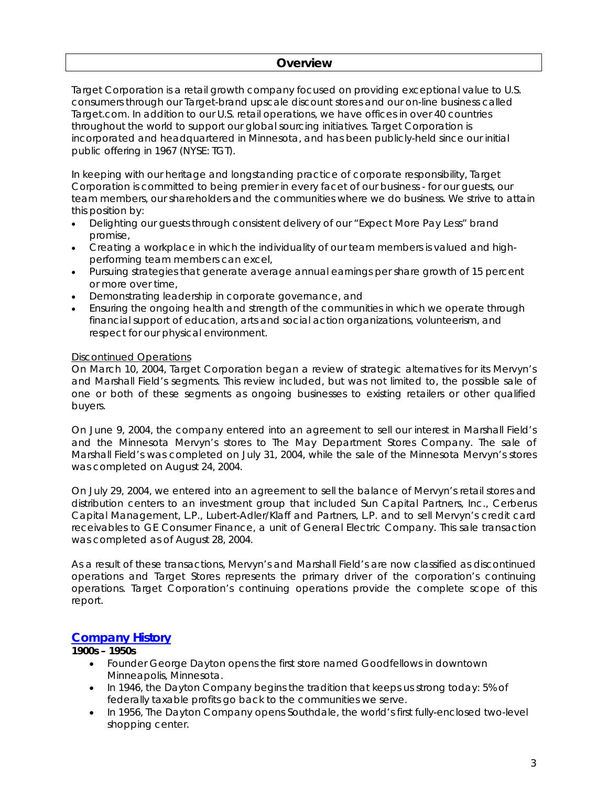### **Overview**

Target Corporation is a retail growth company focused on providing exceptional value to U.S. consumers through our Target-brand upscale discount stores and our on-line business called Target.com. In addition to our U.S. retail operations, we have offices in over 40 countries throughout the world to support our global sourcing initiatives. Target Corporation is incorporated and headquartered in Minnesota, and has been publicly-held since our initial public offering in 1967 (NYSE: TGT).

In keeping with our heritage and longstanding practice of corporate responsibility, Target Corporation is committed to being premier in every facet of our business - for our guests, our team members, our shareholders and the communities where we do business. We strive to attain this position by:

- Delighting our guests through consistent delivery of our "Expect More Pay Less" brand promise,
- Creating a workplace in which the individuality of our team members is valued and highperforming team members can excel,
- Pursuing strategies that generate average annual earnings per share growth of 15 percent or more over time,
- Demonstrating leadership in corporate governance, and
- Ensuring the ongoing health and strength of the communities in which we operate through financial support of education, arts and social action organizations, volunteerism, and respect for our physical environment.

### Discontinued Operations

On March 10, 2004, Target Corporation began a review of strategic alternatives for its Mervyn's and Marshall Field's segments. This review included, but was not limited to, the possible sale of one or both of these segments as ongoing businesses to existing retailers or other qualified buyers.

On June 9, 2004, the company entered into an agreement to sell our interest in Marshall Field's and the Minnesota Mervyn's stores to The May Department Stores Company. The sale of Marshall Field's was completed on July 31, 2004, while the sale of the Minnesota Mervyn's stores was completed on August 24, 2004.

On July 29, 2004, we entered into an agreement to sell the balance of Mervyn's retail stores and distribution centers to an investment group that included Sun Capital Partners, Inc., Cerberus Capital Management, L.P., Lubert-Adler/Klaff and Partners, L.P. and to sell Mervyn's credit card receivables to GE Consumer Finance, a unit of General Electric Company. This sale transaction was completed as of August 28, 2004.

As a result of these transactions, Mervyn's and Marshall Field's are now classified as discontinued operations and Target Stores represents the primary driver of the corporation's continuing operations. Target Corporation's continuing operations provide the complete scope of this report.

### **Company History**

### **1900s – 1950s**

- Founder George Dayton opens the first store named Goodfellows in downtown Minneapolis, Minnesota.
- In 1946, the Dayton Company begins the tradition that keeps us strong today: 5% of federally taxable profits go back to the communities we serve.
- In 1956, The Dayton Company opens Southdale, the world's first fully-enclosed two-level shopping center.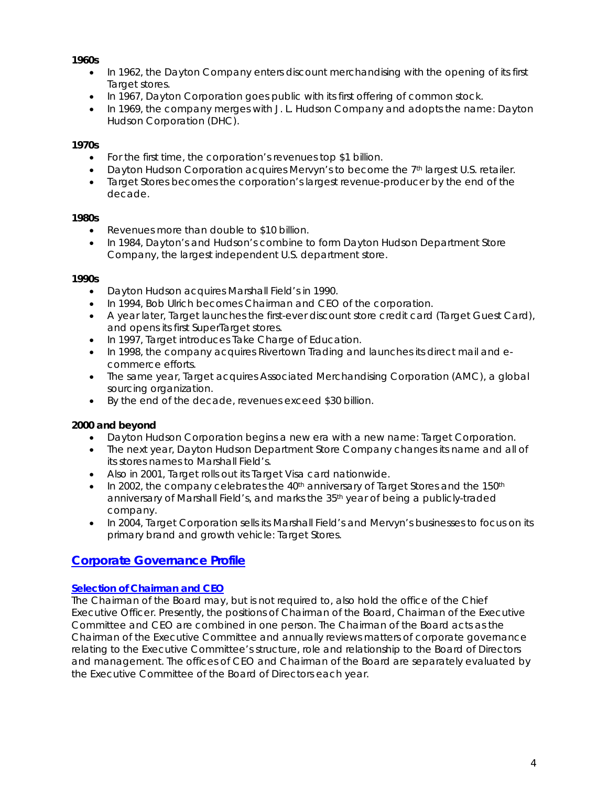### **1960s**

- In 1962, the Dayton Company enters discount merchandising with the opening of its first Target stores.
- In 1967, Dayton Corporation goes public with its first offering of common stock.
- In 1969, the company merges with J. L. Hudson Company and adopts the name: Dayton Hudson Corporation (DHC).

### **1970s**

- For the first time, the corporation's revenues top \$1 billion.
- Dayton Hudson Corporation acquires Mervyn's to become the 7<sup>th</sup> largest U.S. retailer.
- Target Stores becomes the corporation's largest revenue-producer by the end of the decade.

### **1980s**

- Revenues more than double to \$10 billion.
- In 1984, Dayton's and Hudson's combine to form Dayton Hudson Department Store Company, the largest independent U.S. department store.

### **1990s**

- Dayton Hudson acquires Marshall Field's in 1990.
- In 1994, Bob Ulrich becomes Chairman and CEO of the corporation.
- A year later, Target launches the first-ever discount store credit card (Target Guest Card), and opens its first SuperTarget stores.
- In 1997, Target introduces Take Charge of Education.
- In 1998, the company acquires Rivertown Trading and launches its direct mail and ecommerce efforts.
- The same year, Target acquires Associated Merchandising Corporation (AMC), a global sourcing organization.
- By the end of the decade, revenues exceed \$30 billion.

### **2000 and beyond**

- Dayton Hudson Corporation begins a new era with a new name: Target Corporation.
- The next year, Dayton Hudson Department Store Company changes its name and all of its stores names to Marshall Field's.
- Also in 2001, Target rolls out its Target Visa card nationwide.
- In 2002, the company celebrates the 40<sup>th</sup> anniversary of Target Stores and the 150<sup>th</sup> anniversary of Marshall Field's, and marks the 35th year of being a publicly-traded company.
- In 2004, Target Corporation sells its Marshall Field's and Mervyn's businesses to focus on its primary brand and growth vehicle: Target Stores.

# **Corporate Governance Profile**

### **Selection of Chairman and CEO**

The Chairman of the Board may, but is not required to, also hold the office of the Chief Executive Officer. Presently, the positions of Chairman of the Board, Chairman of the Executive Committee and CEO are combined in one person. The Chairman of the Board acts as the Chairman of the Executive Committee and annually reviews matters of corporate governance relating to the Executive Committee's structure, role and relationship to the Board of Directors and management. The offices of CEO and Chairman of the Board are separately evaluated by the Executive Committee of the Board of Directors each year.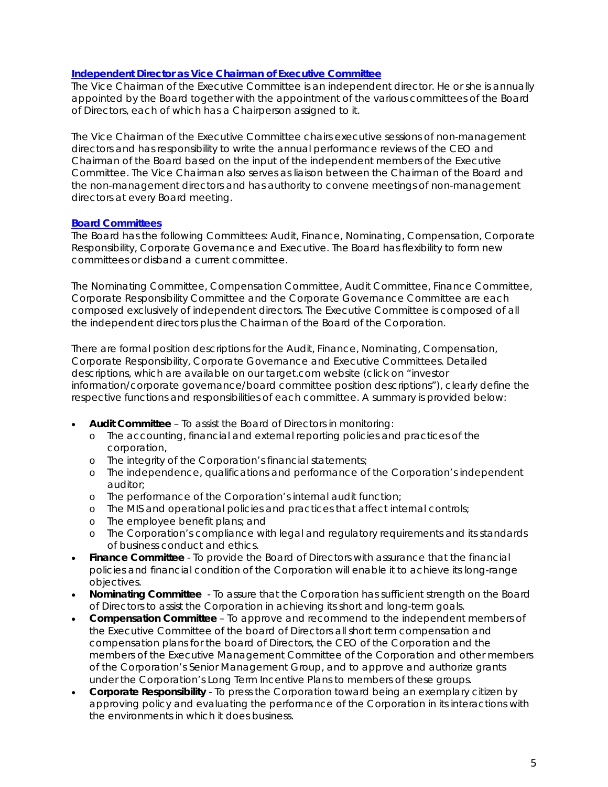### **Independent Director as Vice Chairman of Executive Committee**

The Vice Chairman of the Executive Committee is an independent director. He or she is annually appointed by the Board together with the appointment of the various committees of the Board of Directors, each of which has a Chairperson assigned to it.

The Vice Chairman of the Executive Committee chairs executive sessions of non-management directors and has responsibility to write the annual performance reviews of the CEO and Chairman of the Board based on the input of the independent members of the Executive Committee. The Vice Chairman also serves as liaison between the Chairman of the Board and the non-management directors and has authority to convene meetings of non-management directors at every Board meeting.

### **Board Committees**

The Board has the following Committees: Audit, Finance, Nominating, Compensation, Corporate Responsibility, Corporate Governance and Executive. The Board has flexibility to form new committees or disband a current committee.

The Nominating Committee, Compensation Committee, Audit Committee, Finance Committee, Corporate Responsibility Committee and the Corporate Governance Committee are each composed exclusively of independent directors. The Executive Committee is composed of all the independent directors plus the Chairman of the Board of the Corporation.

There are formal position descriptions for the Audit, Finance, Nominating, Compensation, Corporate Responsibility, Corporate Governance and Executive Committees. Detailed descriptions, which are available on our target.com website (click on "investor information/corporate governance/board committee position descriptions"), clearly define the respective functions and responsibilities of each committee. A summary is provided below:

- **Audit Committee** To assist the Board of Directors in monitoring:
	- o The accounting, financial and external reporting policies and practices of the corporation,
	- o The integrity of the Corporation's financial statements;
	- o The independence, qualifications and performance of the Corporation's independent auditor;
	- o The performance of the Corporation's internal audit function;
	- o The MIS and operational policies and practices that affect internal controls;
	- o The employee benefit plans; and
	- o The Corporation's compliance with legal and regulatory requirements and its standards of business conduct and ethics.
- **Finance Committee** To provide the Board of Directors with assurance that the financial policies and financial condition of the Corporation will enable it to achieve its long-range objectives.
- **Nominating Committee**  To assure that the Corporation has sufficient strength on the Board of Directors to assist the Corporation in achieving its short and long-term goals.
- **Compensation Committee**  To approve and recommend to the independent members of the Executive Committee of the board of Directors all short term compensation and compensation plans for the board of Directors, the CEO of the Corporation and the members of the Executive Management Committee of the Corporation and other members of the Corporation's Senior Management Group, and to approve and authorize grants under the Corporation's Long Term Incentive Plans to members of these groups.
- **Corporate Responsibility** To press the Corporation toward being an exemplary citizen by approving policy and evaluating the performance of the Corporation in its interactions with the environments in which it does business.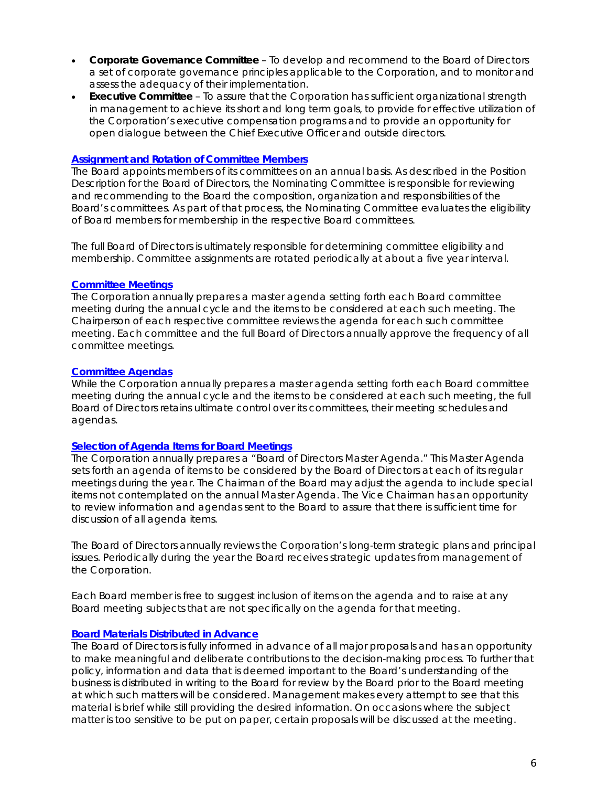- **Corporate Governance Committee** To develop and recommend to the Board of Directors a set of corporate governance principles applicable to the Corporation, and to monitor and assess the adequacy of their implementation.
- **Executive Committee** To assure that the Corporation has sufficient organizational strength in management to achieve its short and long term goals, to provide for effective utilization of the Corporation's executive compensation programs and to provide an opportunity for open dialogue between the Chief Executive Officer and outside directors.

### **Assignment and Rotation of Committee Members**

The Board appoints members of its committees on an annual basis. As described in the Position Description for the Board of Directors, the Nominating Committee is responsible for reviewing and recommending to the Board the composition, organization and responsibilities of the Board's committees. As part of that process, the Nominating Committee evaluates the eligibility of Board members for membership in the respective Board committees.

The full Board of Directors is ultimately responsible for determining committee eligibility and membership. Committee assignments are rotated periodically at about a five year interval.

### **Committee Meetings**

The Corporation annually prepares a master agenda setting forth each Board committee meeting during the annual cycle and the items to be considered at each such meeting. The Chairperson of each respective committee reviews the agenda for each such committee meeting. Each committee and the full Board of Directors annually approve the frequency of all committee meetings.

### **Committee Agendas**

While the Corporation annually prepares a master agenda setting forth each Board committee meeting during the annual cycle and the items to be considered at each such meeting, the full Board of Directors retains ultimate control over its committees, their meeting schedules and agendas.

### **Selection of Agenda Items for Board Meetings**

The Corporation annually prepares a "Board of Directors Master Agenda." This Master Agenda sets forth an agenda of items to be considered by the Board of Directors at each of its regular meetings during the year. The Chairman of the Board may adjust the agenda to include special items not contemplated on the annual Master Agenda. The Vice Chairman has an opportunity to review information and agendas sent to the Board to assure that there is sufficient time for discussion of all agenda items.

The Board of Directors annually reviews the Corporation's long-term strategic plans and principal issues. Periodically during the year the Board receives strategic updates from management of the Corporation.

Each Board member is free to suggest inclusion of items on the agenda and to raise at any Board meeting subjects that are not specifically on the agenda for that meeting.

### **Board Materials Distributed in Advance**

The Board of Directors is fully informed in advance of all major proposals and has an opportunity to make meaningful and deliberate contributions to the decision-making process. To further that policy, information and data that is deemed important to the Board's understanding of the business is distributed in writing to the Board for review by the Board prior to the Board meeting at which such matters will be considered. Management makes every attempt to see that this material is brief while still providing the desired information. On occasions where the subject matter is too sensitive to be put on paper, certain proposals will be discussed at the meeting.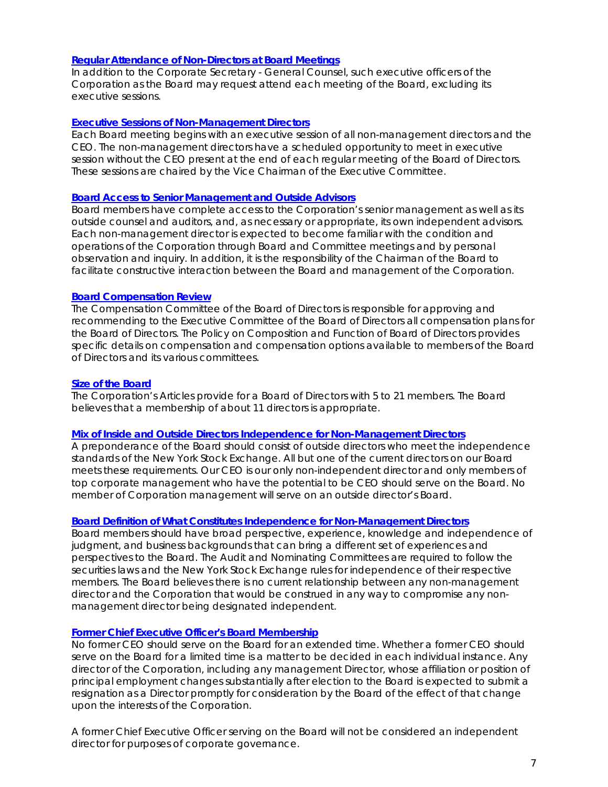### **Regular Attendance of Non-Directors at Board Meetings**

In addition to the Corporate Secretary - General Counsel, such executive officers of the Corporation as the Board may request attend each meeting of the Board, excluding its executive sessions.

### **Executive Sessions of Non-Management Directors**

Each Board meeting begins with an executive session of all non-management directors and the CEO. The non-management directors have a scheduled opportunity to meet in executive session without the CEO present at the end of each regular meeting of the Board of Directors. These sessions are chaired by the Vice Chairman of the Executive Committee.

### **Board Access to Senior Management and Outside Advisors**

Board members have complete access to the Corporation's senior management as well as its outside counsel and auditors, and, as necessary or appropriate, its own independent advisors. Each non-management director is expected to become familiar with the condition and operations of the Corporation through Board and Committee meetings and by personal observation and inquiry. In addition, it is the responsibility of the Chairman of the Board to facilitate constructive interaction between the Board and management of the Corporation.

### **Board Compensation Review**

The Compensation Committee of the Board of Directors is responsible for approving and recommending to the Executive Committee of the Board of Directors all compensation plans for the Board of Directors. The Policy on Composition and Function of Board of Directors provides specific details on compensation and compensation options available to members of the Board of Directors and its various committees.

### **Size of the Board**

The Corporation's Articles provide for a Board of Directors with 5 to 21 members. The Board believes that a membership of about 11 directors is appropriate.

### **Mix of Inside and Outside Directors Independence for Non-Management Directors**

A preponderance of the Board should consist of outside directors who meet the independence standards of the New York Stock Exchange. All but one of the current directors on our Board meets these requirements. Our CEO is our only non-independent director and only members of top corporate management who have the potential to be CEO should serve on the Board. No member of Corporation management will serve on an outside director's Board.

### **Board Definition of What Constitutes Independence for Non-Management Directors**

Board members should have broad perspective, experience, knowledge and independence of judgment, and business backgrounds that can bring a different set of experiences and perspectives to the Board. The Audit and Nominating Committees are required to follow the securities laws and the New York Stock Exchange rules for independence of their respective members. The Board believes there is no current relationship between any non-management director and the Corporation that would be construed in any way to compromise any nonmanagement director being designated independent.

#### **Former Chief Executive Officer's Board Membership**

No former CEO should serve on the Board for an extended time. Whether a former CEO should serve on the Board for a limited time is a matter to be decided in each individual instance. Any director of the Corporation, including any management Director, whose affiliation or position of principal employment changes substantially after election to the Board is expected to submit a resignation as a Director promptly for consideration by the Board of the effect of that change upon the interests of the Corporation.

A former Chief Executive Officer serving on the Board will not be considered an independent director for purposes of corporate governance.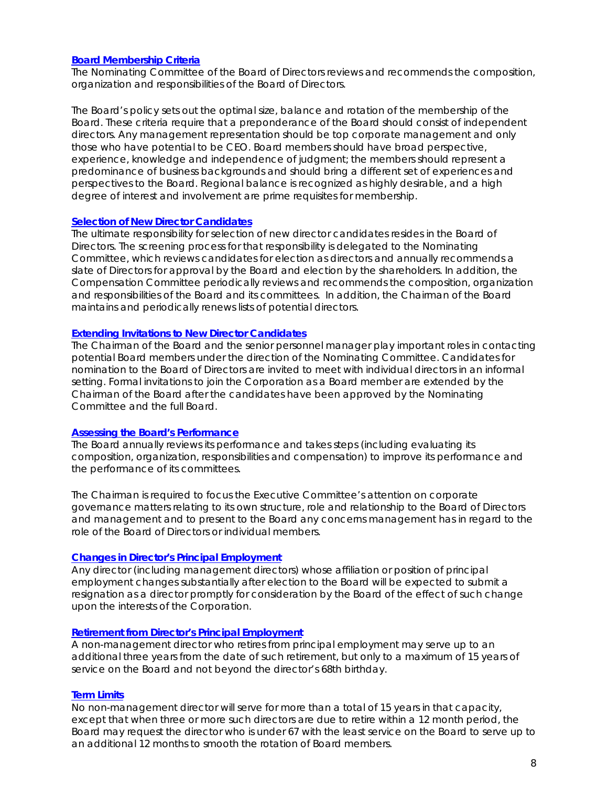### **Board Membership Criteria**

The Nominating Committee of the Board of Directors reviews and recommends the composition, organization and responsibilities of the Board of Directors.

The Board's policy sets out the optimal size, balance and rotation of the membership of the Board. These criteria require that a preponderance of the Board should consist of independent directors. Any management representation should be top corporate management and only those who have potential to be CEO. Board members should have broad perspective, experience, knowledge and independence of judgment; the members should represent a predominance of business backgrounds and should bring a different set of experiences and perspectives to the Board. Regional balance is recognized as highly desirable, and a high degree of interest and involvement are prime requisites for membership.

### **Selection of New Director Candidates**

The ultimate responsibility for selection of new director candidates resides in the Board of Directors. The screening process for that responsibility is delegated to the Nominating Committee, which reviews candidates for election as directors and annually recommends a slate of Directors for approval by the Board and election by the shareholders. In addition, the Compensation Committee periodically reviews and recommends the composition, organization and responsibilities of the Board and its committees. In addition, the Chairman of the Board maintains and periodically renews lists of potential directors.

### **Extending Invitations to New Director Candidates**

The Chairman of the Board and the senior personnel manager play important roles in contacting potential Board members under the direction of the Nominating Committee. Candidates for nomination to the Board of Directors are invited to meet with individual directors in an informal setting. Formal invitations to join the Corporation as a Board member are extended by the Chairman of the Board after the candidates have been approved by the Nominating Committee and the full Board.

### **Assessing the Board's Performance**

The Board annually reviews its performance and takes steps (including evaluating its composition, organization, responsibilities and compensation) to improve its performance and the performance of its committees.

The Chairman is required to focus the Executive Committee's attention on corporate governance matters relating to its own structure, role and relationship to the Board of Directors and management and to present to the Board any concerns management has in regard to the role of the Board of Directors or individual members.

### **Changes in Director's Principal Employment**

Any director (including management directors) whose affiliation or position of principal employment changes substantially after election to the Board will be expected to submit a resignation as a director promptly for consideration by the Board of the effect of such change upon the interests of the Corporation.

### **Retirement from Director's Principal Employment**

A non-management director who retires from principal employment may serve up to an additional three years from the date of such retirement, but only to a maximum of 15 years of service on the Board and not beyond the director's 68th birthday.

### **Term Limits**

No non-management director will serve for more than a total of 15 years in that capacity, except that when three or more such directors are due to retire within a 12 month period, the Board may request the director who is under 67 with the least service on the Board to serve up to an additional 12 months to smooth the rotation of Board members.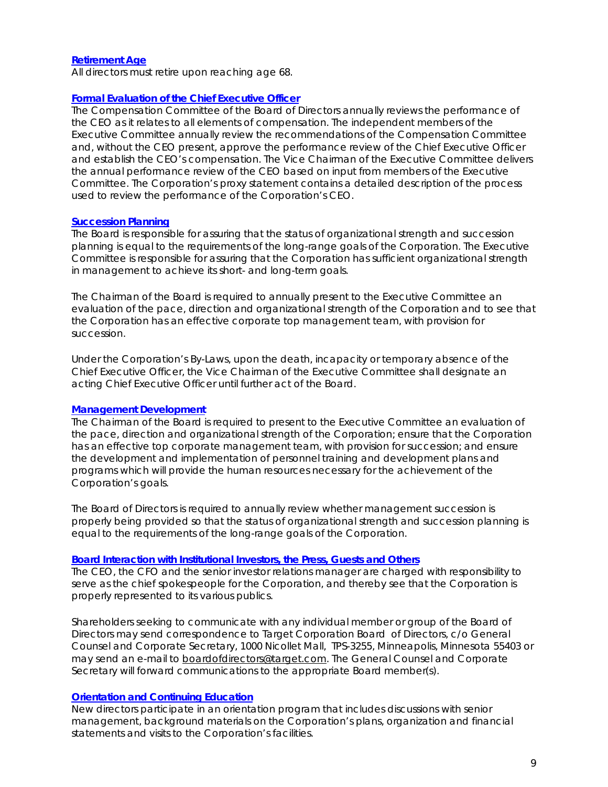### **Retirement Age**

All directors must retire upon reaching age 68.

### **Formal Evaluation of the Chief Executive Officer**

The Compensation Committee of the Board of Directors annually reviews the performance of the CEO as it relates to all elements of compensation. The independent members of the Executive Committee annually review the recommendations of the Compensation Committee and, without the CEO present, approve the performance review of the Chief Executive Officer and establish the CEO's compensation. The Vice Chairman of the Executive Committee delivers the annual performance review of the CEO based on input from members of the Executive Committee. The Corporation's proxy statement contains a detailed description of the process used to review the performance of the Corporation's CEO.

### **Succession Planning**

The Board is responsible for assuring that the status of organizational strength and succession planning is equal to the requirements of the long-range goals of the Corporation. The Executive Committee is responsible for assuring that the Corporation has sufficient organizational strength in management to achieve its short- and long-term goals.

The Chairman of the Board is required to annually present to the Executive Committee an evaluation of the pace, direction and organizational strength of the Corporation and to see that the Corporation has an effective corporate top management team, with provision for succession.

Under the Corporation's By-Laws, upon the death, incapacity or temporary absence of the Chief Executive Officer, the Vice Chairman of the Executive Committee shall designate an acting Chief Executive Officer until further act of the Board.

### **Management Development**

The Chairman of the Board is required to present to the Executive Committee an evaluation of the pace, direction and organizational strength of the Corporation; ensure that the Corporation has an effective top corporate management team, with provision for succession; and ensure the development and implementation of personnel training and development plans and programs which will provide the human resources necessary for the achievement of the Corporation's goals.

The Board of Directors is required to annually review whether management succession is properly being provided so that the status of organizational strength and succession planning is equal to the requirements of the long-range goals of the Corporation.

### **Board Interaction with Institutional Investors, the Press, Guests and Others**

The CEO, the CFO and the senior investor relations manager are charged with responsibility to serve as the chief spokespeople for the Corporation, and thereby see that the Corporation is properly represented to its various publics.

Shareholders seeking to communicate with any individual member or group of the Board of Directors may send correspondence to Target Corporation Board of Directors, c/o General Counsel and Corporate Secretary, 1000 Nicollet Mall, TPS-3255, Minneapolis, Minnesota 55403 or may send an e-mail to boardofdirectors@target.com. The General Counsel and Corporate Secretary will forward communications to the appropriate Board member(s).

### **Orientation and Continuing Education**

New directors participate in an orientation program that includes discussions with senior management, background materials on the Corporation's plans, organization and financial statements and visits to the Corporation's facilities.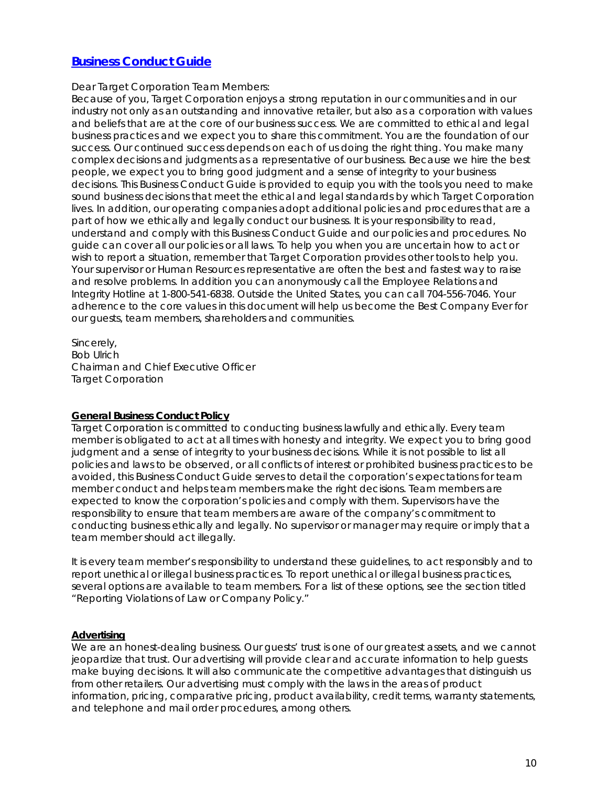# **Business Conduct Guide**

Dear Target Corporation Team Members:

Because of you, Target Corporation enjoys a strong reputation in our communities and in our industry not only as an outstanding and innovative retailer, but also as a corporation with values and beliefs that are at the core of our business success. We are committed to ethical and legal business practices and we expect you to share this commitment. You are the foundation of our success. Our continued success depends on each of us doing the right thing. You make many complex decisions and judgments as a representative of our business. Because we hire the best people, we expect you to bring good judgment and a sense of integrity to your business decisions. This Business Conduct Guide is provided to equip you with the tools you need to make sound business decisions that meet the ethical and legal standards by which Target Corporation lives. In addition, our operating companies adopt additional policies and procedures that are a part of how we ethically and legally conduct our business. It is your responsibility to read, understand and comply with this Business Conduct Guide and our policies and procedures. No guide can cover all our policies or all laws. To help you when you are uncertain how to act or wish to report a situation, remember that Target Corporation provides other tools to help you. Your supervisor or Human Resources representative are often the best and fastest way to raise and resolve problems. In addition you can anonymously call the Employee Relations and Integrity Hotline at 1-800-541-6838. Outside the United States, you can call 704-556-7046. Your adherence to the core values in this document will help us become the Best Company Ever for our guests, team members, shareholders and communities.

Sincerely, Bob Ulrich Chairman and Chief Executive Officer Target Corporation

### **General Business Conduct Policy**

Target Corporation is committed to conducting business lawfully and ethically. Every team member is obligated to act at all times with honesty and integrity. We expect you to bring good judgment and a sense of integrity to your business decisions. While it is not possible to list all policies and laws to be observed, or all conflicts of interest or prohibited business practices to be avoided, this Business Conduct Guide serves to detail the corporation's expectations for team member conduct and helps team members make the right decisions. Team members are expected to know the corporation's policies and comply with them. Supervisors have the responsibility to ensure that team members are aware of the company's commitment to conducting business ethically and legally. No supervisor or manager may require or imply that a team member should act illegally.

It is every team member's responsibility to understand these guidelines, to act responsibly and to report unethical or illegal business practices. To report unethical or illegal business practices, several options are available to team members. For a list of these options, see the section titled "Reporting Violations of Law or Company Policy."

### **Advertising**

We are an honest-dealing business. Our quests' trust is one of our greatest assets, and we cannot jeopardize that trust. Our advertising will provide clear and accurate information to help guests make buying decisions. It will also communicate the competitive advantages that distinguish us from other retailers. Our advertising must comply with the laws in the areas of product information, pricing, comparative pricing, product availability, credit terms, warranty statements, and telephone and mail order procedures, among others.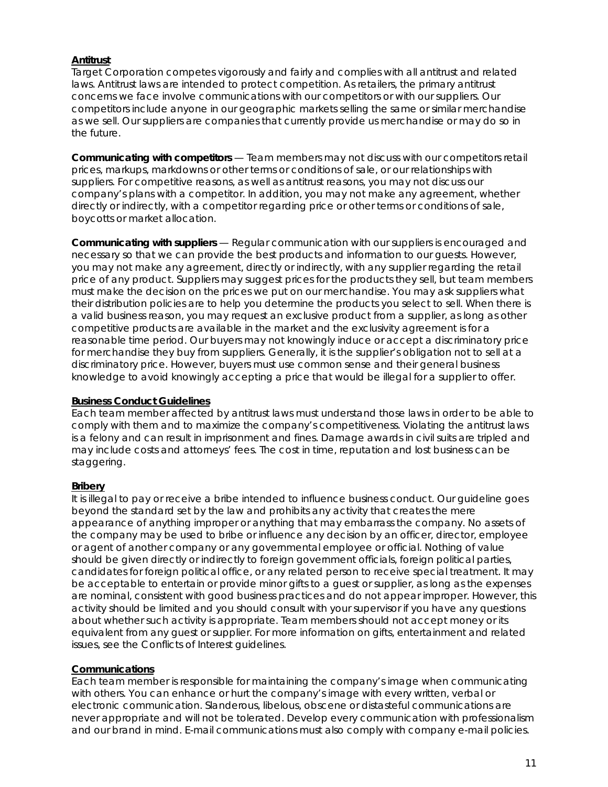### **Antitrust**

Target Corporation competes vigorously and fairly and complies with all antitrust and related laws. Antitrust laws are intended to protect competition. As retailers, the primary antitrust concerns we face involve communications with our competitors or with our suppliers. Our competitors include anyone in our geographic markets selling the same or similar merchandise as we sell. Our suppliers are companies that currently provide us merchandise or may do so in the future.

**Communicating with competitors** — Team members may not discuss with our competitors retail prices, markups, markdowns or other terms or conditions of sale, or our relationships with suppliers. For competitive reasons, as well as antitrust reasons, you may not discuss our company's plans with a competitor. In addition, you may not make any agreement, whether directly or indirectly, with a competitor regarding price or other terms or conditions of sale, boycotts or market allocation.

**Communicating with suppliers** — Regular communication with our suppliers is encouraged and necessary so that we can provide the best products and information to our guests. However, you may not make any agreement, directly or indirectly, with any supplier regarding the retail price of any product. Suppliers may suggest prices for the products they sell, but team members must make the decision on the prices we put on our merchandise. You may ask suppliers what their distribution policies are to help you determine the products you select to sell. When there is a valid business reason, you may request an exclusive product from a supplier, as long as other competitive products are available in the market and the exclusivity agreement is for a reasonable time period. Our buyers may not knowingly induce or accept a discriminatory price for merchandise they buy from suppliers. Generally, it is the supplier's obligation not to sell at a discriminatory price. However, buyers must use common sense and their general business knowledge to avoid knowingly accepting a price that would be illegal for a supplier to offer.

### **Business Conduct Guidelines**

Each team member affected by antitrust laws must understand those laws in order to be able to comply with them and to maximize the company's competitiveness. Violating the antitrust laws is a felony and can result in imprisonment and fines. Damage awards in civil suits are tripled and may include costs and attorneys' fees. The cost in time, reputation and lost business can be staggering.

### **Bribery**

It is illegal to pay or receive a bribe intended to influence business conduct. Our guideline goes beyond the standard set by the law and prohibits any activity that creates the mere appearance of anything improper or anything that may embarrass the company. No assets of the company may be used to bribe or influence any decision by an officer, director, employee or agent of another company or any governmental employee or official. Nothing of value should be given directly or indirectly to foreign government officials, foreign political parties, candidates for foreign political office, or any related person to receive special treatment. It may be acceptable to entertain or provide minor gifts to a guest or supplier, as long as the expenses are nominal, consistent with good business practices and do not appear improper. However, this activity should be limited and you should consult with your supervisor if you have any questions about whether such activity is appropriate. Team members should not accept money or its equivalent from any guest or supplier. For more information on gifts, entertainment and related issues, see the Conflicts of Interest guidelines.

### **Communications**

Each team member is responsible for maintaining the company's image when communicating with others. You can enhance or hurt the company's image with every written, verbal or electronic communication. Slanderous, libelous, obscene or distasteful communications are never appropriate and will not be tolerated. Develop every communication with professionalism and our brand in mind. E-mail communications must also comply with company e-mail policies.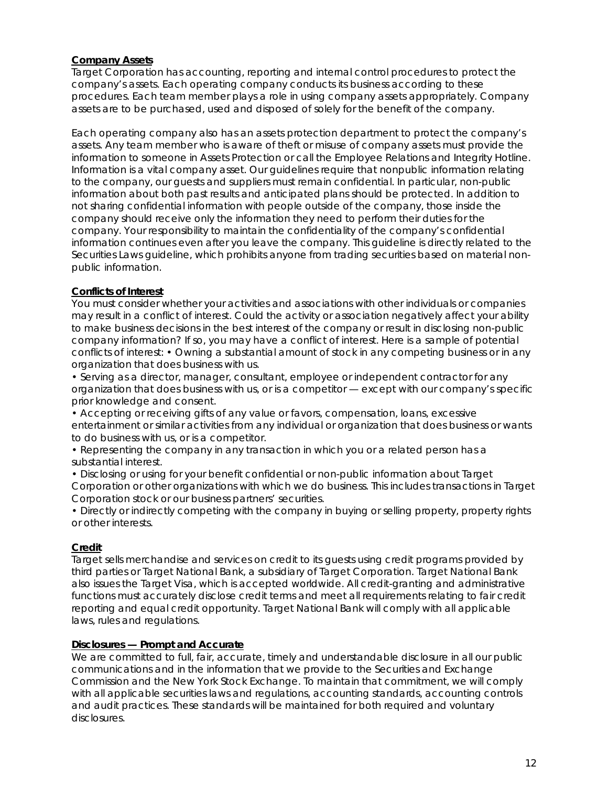### **Company Assets**

Target Corporation has accounting, reporting and internal control procedures to protect the company's assets. Each operating company conducts its business according to these procedures. Each team member plays a role in using company assets appropriately. Company assets are to be purchased, used and disposed of solely for the benefit of the company.

Each operating company also has an assets protection department to protect the company's assets. Any team member who is aware of theft or misuse of company assets must provide the information to someone in Assets Protection or call the Employee Relations and Integrity Hotline. Information is a vital company asset. Our guidelines require that nonpublic information relating to the company, our guests and suppliers must remain confidential. In particular, non-public information about both past results and anticipated plans should be protected. In addition to not sharing confidential information with people outside of the company, those inside the company should receive only the information they need to perform their duties for the company. Your responsibility to maintain the confidentiality of the company's confidential information continues even after you leave the company. This guideline is directly related to the Securities Laws guideline, which prohibits anyone from trading securities based on material nonpublic information.

### **Conflicts of Interest**

You must consider whether your activities and associations with other individuals or companies may result in a conflict of interest. Could the activity or association negatively affect your ability to make business decisions in the best interest of the company or result in disclosing non-public company information? If so, you may have a conflict of interest. Here is a sample of potential conflicts of interest: • Owning a substantial amount of stock in any competing business or in any organization that does business with us.

• Serving as a director, manager, consultant, employee or independent contractor for any organization that does business with us, or is a competitor — except with our company's specific prior knowledge and consent.

• Accepting or receiving gifts of any value or favors, compensation, loans, excessive entertainment or similar activities from any individual or organization that does business or wants to do business with us, or is a competitor.

• Representing the company in any transaction in which you or a related person has a substantial interest.

• Disclosing or using for your benefit confidential or non-public information about Target Corporation or other organizations with which we do business. This includes transactions in Target Corporation stock or our business partners' securities.

• Directly or indirectly competing with the company in buying or selling property, property rights or other interests.

### **Credit**

Target sells merchandise and services on credit to its guests using credit programs provided by third parties or Target National Bank, a subsidiary of Target Corporation. Target National Bank also issues the Target Visa, which is accepted worldwide. All credit-granting and administrative functions must accurately disclose credit terms and meet all requirements relating to fair credit reporting and equal credit opportunity. Target National Bank will comply with all applicable laws, rules and regulations.

### **Disclosures — Prompt and Accurate**

We are committed to full, fair, accurate, timely and understandable disclosure in all our public communications and in the information that we provide to the Securities and Exchange Commission and the New York Stock Exchange. To maintain that commitment, we will comply with all applicable securities laws and regulations, accounting standards, accounting controls and audit practices. These standards will be maintained for both required and voluntary disclosures.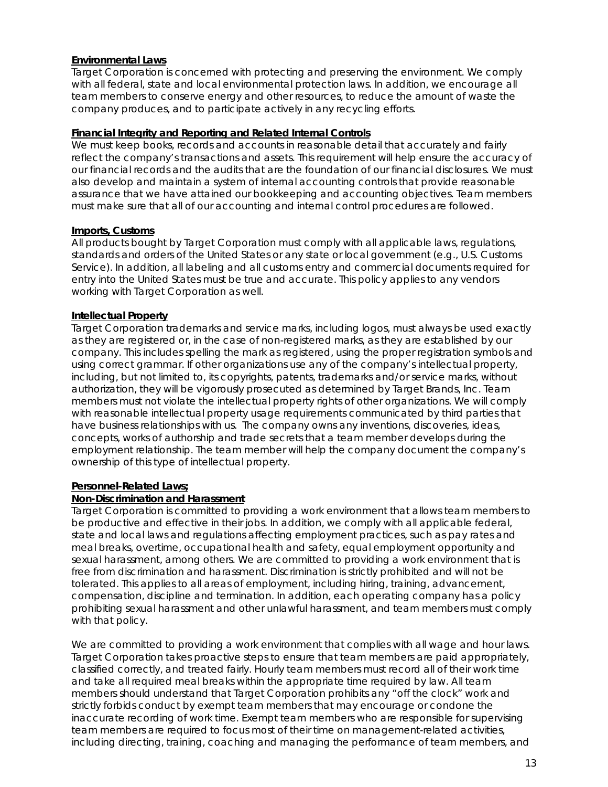### **Environmental Laws**

Target Corporation is concerned with protecting and preserving the environment. We comply with all federal, state and local environmental protection laws. In addition, we encourage all team members to conserve energy and other resources, to reduce the amount of waste the company produces, and to participate actively in any recycling efforts.

### **Financial Integrity and Reporting and Related Internal Controls**

We must keep books, records and accounts in reasonable detail that accurately and fairly reflect the company's transactions and assets. This requirement will help ensure the accuracy of our financial records and the audits that are the foundation of our financial disclosures. We must also develop and maintain a system of internal accounting controls that provide reasonable assurance that we have attained our bookkeeping and accounting objectives. Team members must make sure that all of our accounting and internal control procedures are followed.

### **Imports, Customs**

All products bought by Target Corporation must comply with all applicable laws, regulations, standards and orders of the United States or any state or local government (e.g., U.S. Customs Service). In addition, all labeling and all customs entry and commercial documents required for entry into the United States must be true and accurate. This policy applies to any vendors working with Target Corporation as well.

### **Intellectual Property**

Target Corporation trademarks and service marks, including logos, must always be used exactly as they are registered or, in the case of non-registered marks, as they are established by our company. This includes spelling the mark as registered, using the proper registration symbols and using correct grammar. If other organizations use any of the company's intellectual property, including, but not limited to, its copyrights, patents, trademarks and/or service marks, without authorization, they will be vigorously prosecuted as determined by Target Brands, Inc. Team members must not violate the intellectual property rights of other organizations. We will comply with reasonable intellectual property usage requirements communicated by third parties that have business relationships with us. The company owns any inventions, discoveries, ideas, concepts, works of authorship and trade secrets that a team member develops during the employment relationship. The team member will help the company document the company's ownership of this type of intellectual property.

### **Personnel-Related Laws;**

### **Non-Discrimination and Harassment**

Target Corporation is committed to providing a work environment that allows team members to be productive and effective in their jobs. In addition, we comply with all applicable federal, state and local laws and regulations affecting employment practices, such as pay rates and meal breaks, overtime, occupational health and safety, equal employment opportunity and sexual harassment, among others. We are committed to providing a work environment that is free from discrimination and harassment. Discrimination is strictly prohibited and will not be tolerated. This applies to all areas of employment, including hiring, training, advancement, compensation, discipline and termination. In addition, each operating company has a policy prohibiting sexual harassment and other unlawful harassment, and team members must comply with that policy.

We are committed to providing a work environment that complies with all wage and hour laws. Target Corporation takes proactive steps to ensure that team members are paid appropriately, classified correctly, and treated fairly. Hourly team members must record all of their work time and take all required meal breaks within the appropriate time required by law. All team members should understand that Target Corporation prohibits any "off the clock" work and strictly forbids conduct by exempt team members that may encourage or condone the inaccurate recording of work time. Exempt team members who are responsible for supervising team members are required to focus most of their time on management-related activities, including directing, training, coaching and managing the performance of team members, and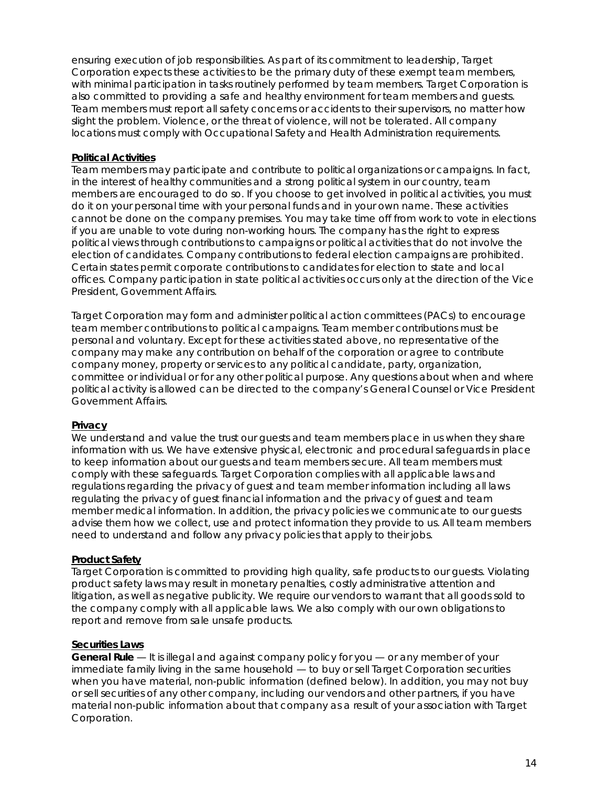ensuring execution of job responsibilities. As part of its commitment to leadership, Target Corporation expects these activities to be the primary duty of these exempt team members, with minimal participation in tasks routinely performed by team members. Target Corporation is also committed to providing a safe and healthy environment for team members and guests. Team members must report all safety concerns or accidents to their supervisors, no matter how slight the problem. Violence, or the threat of violence, will not be tolerated. All company locations must comply with Occupational Safety and Health Administration requirements.

### **Political Activities**

Team members may participate and contribute to political organizations or campaigns. In fact, in the interest of healthy communities and a strong political system in our country, team members are encouraged to do so. If you choose to get involved in political activities, you must do it on your personal time with your personal funds and in your own name. These activities cannot be done on the company premises. You may take time off from work to vote in elections if you are unable to vote during non-working hours. The company has the right to express political views through contributions to campaigns or political activities that do not involve the election of candidates. Company contributions to federal election campaigns are prohibited. Certain states permit corporate contributions to candidates for election to state and local offices. Company participation in state political activities occurs only at the direction of the Vice President, Government Affairs.

Target Corporation may form and administer political action committees (PACs) to encourage team member contributions to political campaigns. Team member contributions must be personal and voluntary. Except for these activities stated above, no representative of the company may make any contribution on behalf of the corporation or agree to contribute company money, property or services to any political candidate, party, organization, committee or individual or for any other political purpose. Any questions about when and where political activity is allowed can be directed to the company's General Counsel or Vice President Government Affairs.

### **Privacy**

We understand and value the trust our quests and team members place in us when they share information with us. We have extensive physical, electronic and procedural safeguards in place to keep information about our guests and team members secure. All team members must comply with these safeguards. Target Corporation complies with all applicable laws and regulations regarding the privacy of guest and team member information including all laws regulating the privacy of guest financial information and the privacy of guest and team member medical information. In addition, the privacy policies we communicate to our guests advise them how we collect, use and protect information they provide to us. All team members need to understand and follow any privacy policies that apply to their jobs.

### **Product Safety**

Target Corporation is committed to providing high quality, safe products to our guests. Violating product safety laws may result in monetary penalties, costly administrative attention and litigation, as well as negative publicity. We require our vendors to warrant that all goods sold to the company comply with all applicable laws. We also comply with our own obligations to report and remove from sale unsafe products.

### **Securities Laws**

**General Rule —** It is illegal and against company policy for you — or any member of your immediate family living in the same household — to buy or sell Target Corporation securities when you have material, non-public information (defined below). In addition, you may not buy or sell securities of any other company, including our vendors and other partners, if you have material non-public information about that company as a result of your association with Target Corporation.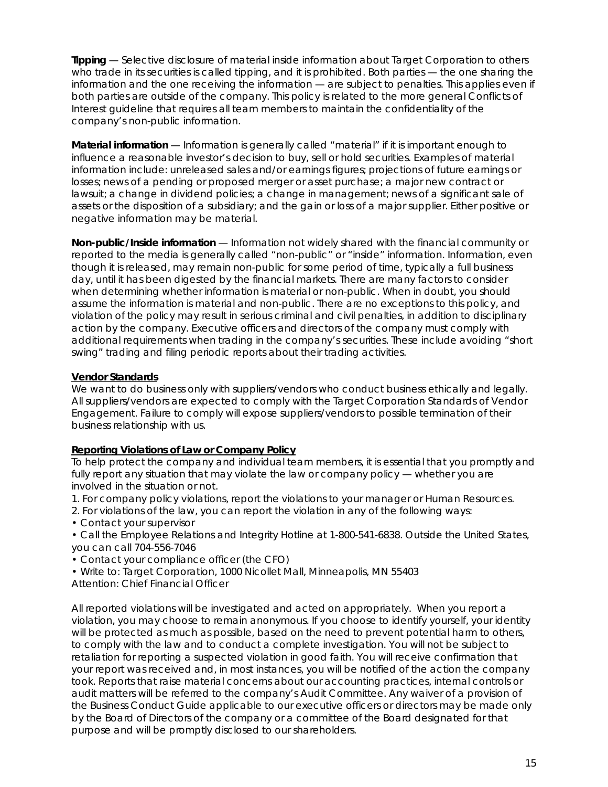**Tipping** — Selective disclosure of material inside information about Target Corporation to others who trade in its securities is called tipping, and it is prohibited. Both parties — the one sharing the information and the one receiving the information — are subject to penalties. This applies even if both parties are outside of the company. This policy is related to the more general Conflicts of Interest guideline that requires all team members to maintain the confidentiality of the company's non-public information.

**Material information** — Information is generally called "material" if it is important enough to influence a reasonable investor's decision to buy, sell or hold securities. Examples of material information include: unreleased sales and/or earnings figures; projections of future earnings or losses; news of a pending or proposed merger or asset purchase; a major new contract or lawsuit; a change in dividend policies; a change in management; news of a significant sale of assets or the disposition of a subsidiary; and the gain or loss of a major supplier. Either positive or negative information may be material.

**Non-public/Inside information** — Information not widely shared with the financial community or reported to the media is generally called "non-public" or "inside" information. Information, even though it is released, may remain non-public for some period of time, typically a full business day, until it has been digested by the financial markets. There are many factors to consider when determining whether information is material or non-public. When in doubt, you should assume the information is material and non-public. There are no exceptions to this policy, and violation of the policy may result in serious criminal and civil penalties, in addition to disciplinary action by the company. Executive officers and directors of the company must comply with additional requirements when trading in the company's securities. These include avoiding "short swing" trading and filing periodic reports about their trading activities.

### **Vendor Standards**

We want to do business only with suppliers/vendors who conduct business ethically and legally. All suppliers/vendors are expected to comply with the Target Corporation Standards of Vendor Engagement. Failure to comply will expose suppliers/vendors to possible termination of their business relationship with us.

### **Reporting Violations of Law or Company Policy**

To help protect the company and individual team members, it is essential that you promptly and fully report any situation that may violate the law or company policy — whether you are involved in the situation or not.

- 1. For company policy violations, report the violations to your manager or Human Resources.
- 2. For violations of the law, you can report the violation in any of the following ways:
- Contact your supervisor
- Call the Employee Relations and Integrity Hotline at 1-800-541-6838. Outside the United States, you can call 704-556-7046
- Contact your compliance officer (the CFO)
- Write to: Target Corporation, 1000 Nicollet Mall, Minneapolis, MN 55403 Attention: Chief Financial Officer

All reported violations will be investigated and acted on appropriately. When you report a violation, you may choose to remain anonymous. If you choose to identify yourself, your identity will be protected as much as possible, based on the need to prevent potential harm to others, to comply with the law and to conduct a complete investigation. You will not be subject to retaliation for reporting a suspected violation in good faith. You will receive confirmation that your report was received and, in most instances, you will be notified of the action the company took. Reports that raise material concerns about our accounting practices, internal controls or audit matters will be referred to the company's Audit Committee. Any waiver of a provision of the Business Conduct Guide applicable to our executive officers or directors may be made only by the Board of Directors of the company or a committee of the Board designated for that purpose and will be promptly disclosed to our shareholders.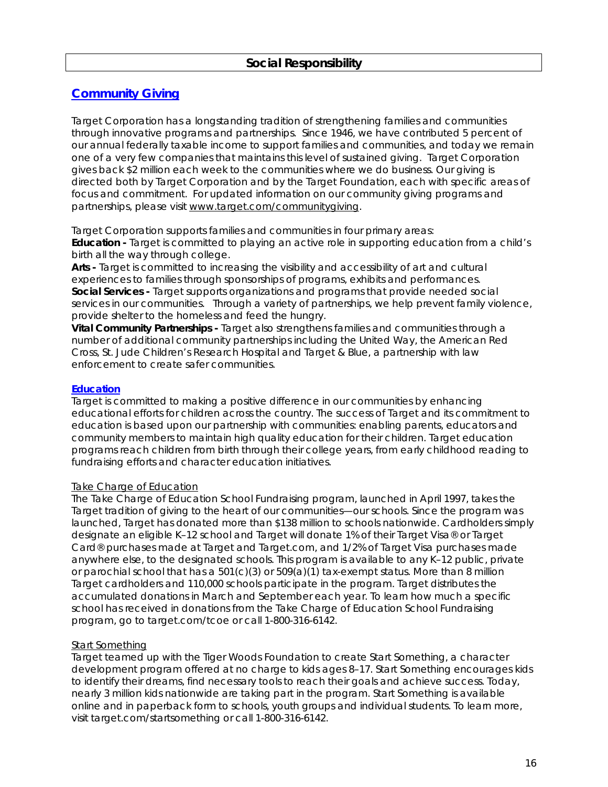# **Community Giving**

Target Corporation has a longstanding tradition of strengthening families and communities through innovative programs and partnerships. Since 1946, we have contributed 5 percent of our annual federally taxable income to support families and communities, and today we remain one of a very few companies that maintains this level of sustained giving. Target Corporation gives back \$2 million each week to the communities where we do business. Our giving is directed both by Target Corporation and by the Target Foundation, each with specific areas of focus and commitment. For updated information on our community giving programs and partnerships, please visit www.target.com/communitygiving.

Target Corporation supports families and communities in four primary areas:

**Education -** Target is committed to playing an active role in supporting education from a child's birth all the way through college.

**Arts -** Target is committed to increasing the visibility and accessibility of art and cultural experiences to families through sponsorships of programs, exhibits and performances. **Social Services -** Target supports organizations and programs that provide needed social services in our communities. Through a variety of partnerships, we help prevent family violence, provide shelter to the homeless and feed the hungry.

**Vital Community Partnerships -** Target also strengthens families and communities through a number of additional community partnerships including the United Way, the American Red Cross, St. Jude Children's Research Hospital and Target & Blue, a partnership with law enforcement to create safer communities.

### **Education**

Target is committed to making a positive difference in our communities by enhancing educational efforts for children across the country. The success of Target and its commitment to education is based upon our partnership with communities: enabling parents, educators and community members to maintain high quality education for their children. Target education programs reach children from birth through their college years, from early childhood reading to fundraising efforts and character education initiatives.

### Take Charge of Education

The Take Charge of Education School Fundraising program, launched in April 1997, takes the Target tradition of giving to the heart of our communities—our schools. Since the program was launched, Target has donated more than \$138 million to schools nationwide. Cardholders simply designate an eligible K–12 school and Target will donate 1% of their Target Visa® or Target Card® purchases made at Target and Target.com, and 1/2% of Target Visa purchases made anywhere else, to the designated schools. This program is available to any K–12 public, private or parochial school that has a  $501(c)(3)$  or  $509(a)(1)$  tax-exempt status. More than 8 million Target cardholders and 110,000 schools participate in the program. Target distributes the accumulated donations in March and September each year. To learn how much a specific school has received in donations from the Take Charge of Education School Fundraising program, go to target.com/tcoe or call 1-800-316-6142.

# Start Something

Target teamed up with the Tiger Woods Foundation to create Start Something, a character development program offered at no charge to kids ages 8–17. Start Something encourages kids to identify their dreams, find necessary tools to reach their goals and achieve success. Today, nearly 3 million kids nationwide are taking part in the program. Start Something is available online and in paperback form to schools, youth groups and individual students. To learn more, visit target.com/startsomething or call 1-800-316-6142.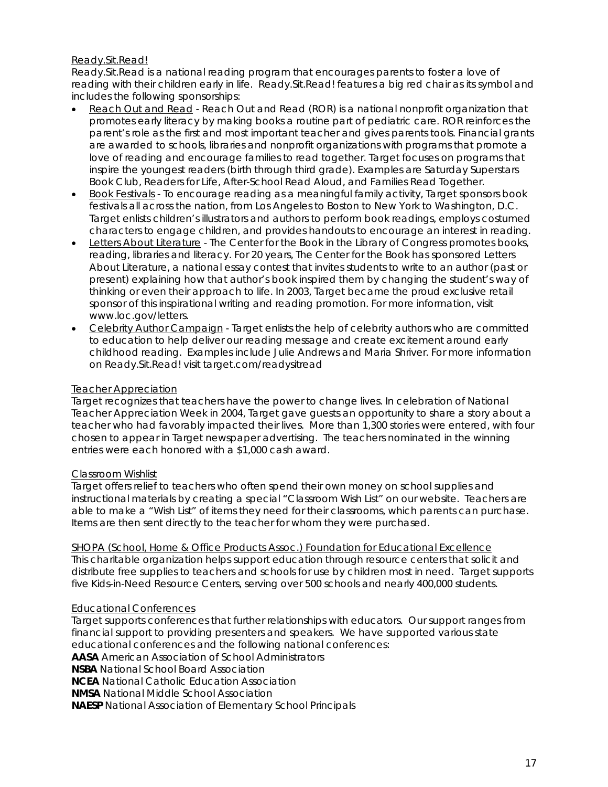### Ready.Sit.Read!

Ready.Sit.Read is a national reading program that encourages parents to foster a love of reading with their children early in life. Ready. Sit. Read! features a big red chair as its symbol and includes the following sponsorships:

- Reach Out and Read Reach Out and Read (ROR) is a national nonprofit organization that promotes early literacy by making books a routine part of pediatric care. ROR reinforces the parent's role as the first and most important teacher and gives parents tools. Financial grants are awarded to schools, libraries and nonprofit organizations with programs that promote a love of reading and encourage families to read together. Target focuses on programs that inspire the youngest readers (birth through third grade). Examples are Saturday Superstars Book Club, Readers for Life, After-School Read Aloud, and Families Read Together.
- Book Festivals To encourage reading as a meaningful family activity, Target sponsors book festivals all across the nation, from Los Angeles to Boston to New York to Washington, D.C. Target enlists children's illustrators and authors to perform book readings, employs costumed characters to engage children, and provides handouts to encourage an interest in reading.
- Letters About Literature The Center for the Book in the Library of Congress promotes books, reading, libraries and literacy. For 20 years, The Center for the Book has sponsored Letters About Literature, a national essay contest that invites students to write to an author (past or present) explaining how that author's book inspired them by changing the student's way of thinking or even their approach to life. In 2003, Target became the proud exclusive retail sponsor of this inspirational writing and reading promotion. For more information, visit www.loc.gov/letters.
- Celebrity Author Campaign Target enlists the help of celebrity authors who are committed to education to help deliver our reading message and create excitement around early childhood reading. Examples include Julie Andrews and Maria Shriver. For more information on Ready.Sit.Read! visit target.com/readysitread

### Teacher Appreciation

Target recognizes that teachers have the power to change lives. In celebration of National Teacher Appreciation Week in 2004, Target gave guests an opportunity to share a story about a teacher who had favorably impacted their lives. More than 1,300 stories were entered, with four chosen to appear in Target newspaper advertising. The teachers nominated in the winning entries were each honored with a \$1,000 cash award.

### Classroom Wishlist

Target offers relief to teachers who often spend their own money on school supplies and instructional materials by creating a special "Classroom Wish List" on our website. Teachers are able to make a "Wish List" of items they need for their classrooms, which parents can purchase. Items are then sent directly to the teacher for whom they were purchased.

### SHOPA (School, Home & Office Products Assoc.) Foundation for Educational Excellence

This charitable organization helps support education through resource centers that solicit and distribute free supplies to teachers and schools for use by children most in need. Target supports five Kids-in-Need Resource Centers, serving over 500 schools and nearly 400,000 students.

### Educational Conferences

Target supports conferences that further relationships with educators. Our support ranges from financial support to providing presenters and speakers. We have supported various state educational conferences and the following national conferences: **AASA** American Association of School Administrators **NSBA** National School Board Association **NCEA** National Catholic Education Association **NMSA** National Middle School Association **NAESP** National Association of Elementary School Principals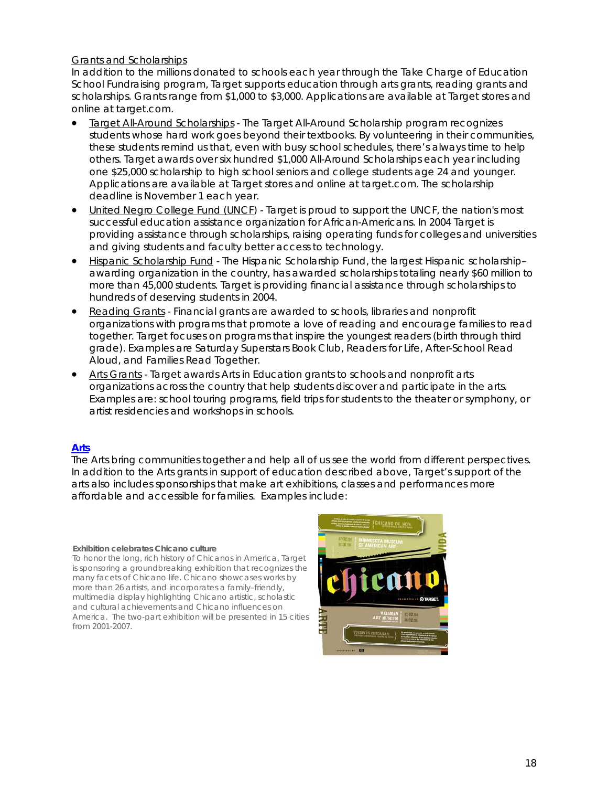### Grants and Scholarships

In addition to the millions donated to schools each year through the Take Charge of Education School Fundraising program, Target supports education through arts grants, reading grants and scholarships. Grants range from \$1,000 to \$3,000. Applications are available at Target stores and online at target.com.

- Target All-Around Scholarships The Target All-Around Scholarship program recognizes students whose hard work goes beyond their textbooks. By volunteering in their communities, these students remind us that, even with busy school schedules, there's always time to help others. Target awards over six hundred \$1,000 All-Around Scholarships each year including one \$25,000 scholarship to high school seniors and college students age 24 and younger. Applications are available at Target stores and online at target.com. The scholarship deadline is November 1 each year.
- United Negro College Fund (UNCF) Target is proud to support the UNCF, the nation's most successful education assistance organization for African-Americans. In 2004 Target is providing assistance through scholarships, raising operating funds for colleges and universities and giving students and faculty better access to technology.
- Hispanic Scholarship Fund The Hispanic Scholarship Fund, the largest Hispanic scholarship– awarding organization in the country, has awarded scholarships totaling nearly \$60 million to more than 45,000 students. Target is providing financial assistance through scholarships to hundreds of deserving students in 2004.
- Reading Grants Financial grants are awarded to schools, libraries and nonprofit organizations with programs that promote a love of reading and encourage families to read together. Target focuses on programs that inspire the youngest readers (birth through third grade). Examples are Saturday Superstars Book Club, Readers for Life, After-School Read Aloud, and Families Read Together.
- Arts Grants Target awards Arts in Education grants to schools and nonprofit arts organizations across the country that help students discover and participate in the arts. Examples are: school touring programs, field trips for students to the theater or symphony, or artist residencies and workshops in schools.

### **Arts**

The Arts bring communities together and help all of us see the world from different perspectives. In addition to the Arts grants in support of education described above, Target's support of the arts also includes sponsorships that make art exhibitions, classes and performances more affordable and accessible for families. Examples include:

#### **Exhibition celebrates Chicano culture**

To honor the long, rich history of Chicanos in America, Target is sponsoring a groundbreaking exhibition that recognizes the many facets of Chicano life. Chicano showcases works by more than 26 artists, and incorporates a family–friendly, multimedia display highlighting Chicano artistic, scholastic and cultural achievements and Chicano influences on America. The two-part exhibition will be presented in 15 cities from 2001-2007.

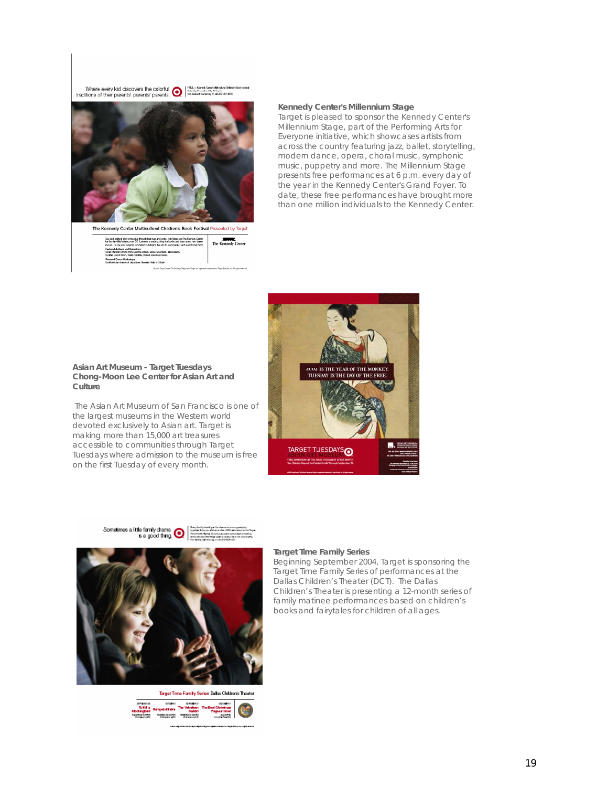Where every kid discovers the colorful  $\bigcirc$   $\bigcirc$   $\bigcirc$   $\bigcirc$   $\bigcirc$   $\bigcirc$  and  $\bigcirc$  the maximum of their parents' parents' parents.  $\bigcirc$  and  $\bigcirc$  in the maximum of their second traditions of their parents' parents' par



#### **Kennedy Center's** *Millennium Stage*

Target is pleased to sponsor the Kennedy Center's *Millennium Stage*, part of the Performing Arts for Everyone initiative, which showcases artists from across the country featuring jazz, ballet, storytelling, modern dance, opera, choral music, symphonic music, puppetry and more. The *Millennium Stage* presents free performances at 6 p.m. every day of the year in the Kennedy Center's Grand Foyer. To date, these free performances have brought more than one million individuals to the Kennedy Center.



#### **Asian Art Museum - Target Tuesdays Chong-Moon Lee Center for Asian Art and Culture**

 The Asian Art Museum of San Francisco is one of the largest museums in the Western world devoted exclusively to Asian art. Target is making more than 15,000 art treasures accessible to communities through Target Tuesdays where admission to the museum is free on the first Tuesday of every month.



# Target Time Family Series Dalas Children's Theater course concerns comme<br>mpaisfilatis The Vehelens The Death Christma<br>mpace of the Christmas comment<br>concerns comments comments

#### **Target Time Family Series**

Beginning September 2004, Target is sponsoring the Target Time Family Series of performances at the Dallas Children's Theater (DCT). The Dallas Children's Theater is presenting a 12-month series of family matinee performances based on children's books and fairytales for children of all ages.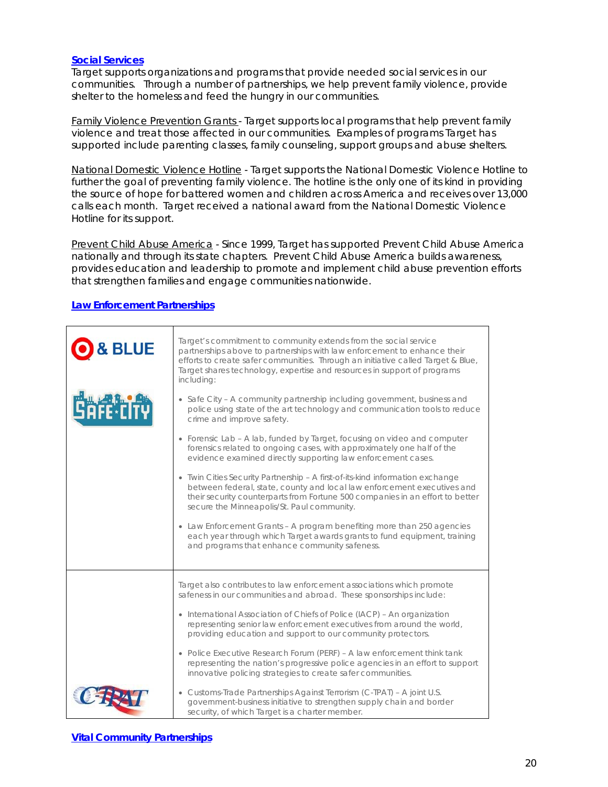### **Social Services**

Target supports organizations and programs that provide needed social services in our communities. Through a number of partnerships, we help prevent family violence, provide shelter to the homeless and feed the hungry in our communities.

Family Violence Prevention Grants - Target supports local programs that help prevent family violence and treat those affected in our communities. Examples of programs Target has supported include parenting classes, family counseling, support groups and abuse shelters.

National Domestic Violence Hotline - Target supports the National Domestic Violence Hotline to further the goal of preventing family violence. The hotline is the only one of its kind in providing the source of hope for battered women and children across America and receives over 13,000 calls each month. Target received a national award from the National Domestic Violence Hotline for its support.

Prevent Child Abuse America - Since 1999, Target has supported Prevent Child Abuse America nationally and through its state chapters. Prevent Child Abuse America builds awareness, provides education and leadership to promote and implement child abuse prevention efforts that strengthen families and engage communities nationwide.

### **Law Enforcement Partnerships**

| & BLUE | Target's commitment to community extends from the social service<br>partnerships above to partnerships with law enforcement to enhance their<br>efforts to create safer communities. Through an initiative called Target & Blue,<br>Target shares technology, expertise and resources in support of programs<br>including:                                                                                                                                                                                                                                                                                                                                                                                                                                                                                                                                                                                  |
|--------|-------------------------------------------------------------------------------------------------------------------------------------------------------------------------------------------------------------------------------------------------------------------------------------------------------------------------------------------------------------------------------------------------------------------------------------------------------------------------------------------------------------------------------------------------------------------------------------------------------------------------------------------------------------------------------------------------------------------------------------------------------------------------------------------------------------------------------------------------------------------------------------------------------------|
|        | • Safe City - A community partnership including government, business and<br>police using state of the art technology and communication tools to reduce<br>crime and improve safety.<br>• Forensic Lab – A lab, funded by Target, focusing on video and computer<br>forensics related to ongoing cases, with approximately one half of the<br>evidence examined directly supporting law enforcement cases.<br>• Twin Cities Security Partnership - A first-of-its-kind information exchange<br>between federal, state, county and local law enforcement executives and<br>their security counterparts from Fortune 500 companies in an effort to better<br>secure the Minneapolis/St. Paul community.<br>• Law Enforcement Grants – A program benefiting more than 250 agencies<br>each year through which Target awards grants to fund equipment, training<br>and programs that enhance community safeness. |
|        |                                                                                                                                                                                                                                                                                                                                                                                                                                                                                                                                                                                                                                                                                                                                                                                                                                                                                                             |
|        | Target also contributes to law enforcement associations which promote<br>safeness in our communities and abroad. These sponsorships include:<br>• International Association of Chiefs of Police (IACP) - An organization<br>representing senior law enforcement executives from around the world,<br>providing education and support to our community protectors.<br>• Police Executive Research Forum (PERF) - A law enforcement think tank<br>representing the nation's progressive police agencies in an effort to support<br>innovative policing strategies to create safer communities.                                                                                                                                                                                                                                                                                                                |
|        | • Customs-Trade Partnerships Against Terrorism (C-TPAT) - A joint U.S.<br>government-business initiative to strengthen supply chain and border<br>security, of which Target is a charter member.                                                                                                                                                                                                                                                                                                                                                                                                                                                                                                                                                                                                                                                                                                            |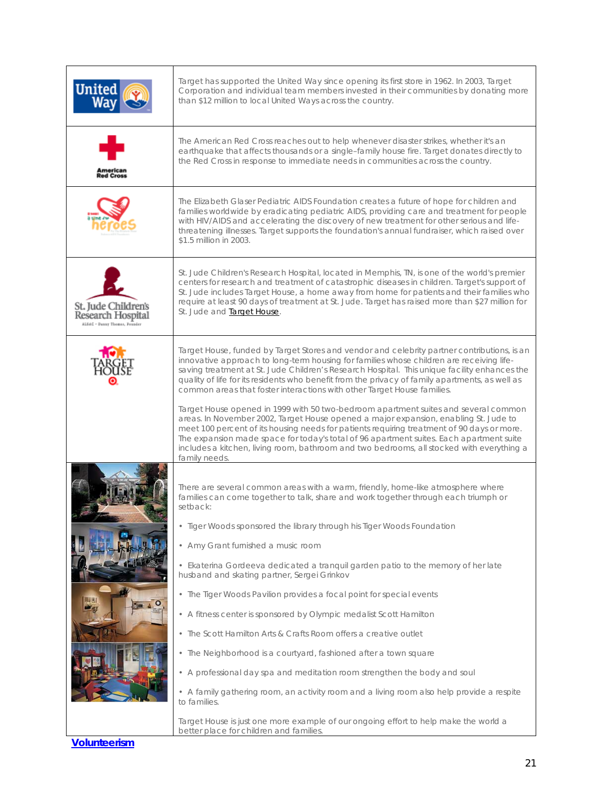|                                                                                  | Target has supported the United Way since opening its first store in 1962. In 2003, Target<br>Corporation and individual team members invested in their communities by donating more<br>than \$12 million to local United Ways across the country.                                                                                                                                                                                                                                 |
|----------------------------------------------------------------------------------|------------------------------------------------------------------------------------------------------------------------------------------------------------------------------------------------------------------------------------------------------------------------------------------------------------------------------------------------------------------------------------------------------------------------------------------------------------------------------------|
| <b>Red Cros</b>                                                                  | The American Red Cross reaches out to help whenever disaster strikes, whether it's an<br>earthquake that affects thousands or a single-family house fire. Target donates directly to<br>the Red Cross in response to immediate needs in communities across the country.                                                                                                                                                                                                            |
|                                                                                  | The Elizabeth Glaser Pediatric AIDS Foundation creates a future of hope for children and<br>families worldwide by eradicating pediatric AIDS, providing care and treatment for people<br>with HIV/AIDS and accelerating the discovery of new treatment for other serious and life-<br>threatening illnesses. Target supports the foundation's annual fundraiser, which raised over<br>\$1.5 million in 2003.                                                                       |
| St. Jude Children's<br>Research Hospital<br><b>ALSAC - Denny Thomas, Jounder</b> | St. Jude Children's Research Hospital, located in Memphis, TN, is one of the world's premier<br>centers for research and treatment of catastrophic diseases in children. Target's support of<br>St. Jude includes Target House, a home away from home for patients and their families who<br>require at least 90 days of treatment at St. Jude. Target has raised more than \$27 million for<br>St. Jude and <b>Target House</b> .                                                 |
|                                                                                  | Target House, funded by Target Stores and vendor and celebrity partner contributions, is an<br>innovative approach to long-term housing for families whose children are receiving life-<br>saving treatment at St. Jude Children's Research Hospital. This unique facility enhances the<br>quality of life for its residents who benefit from the privacy of family apartments, as well as<br>common areas that foster interactions with other Target House families.              |
|                                                                                  | Target House opened in 1999 with 50 two-bedroom apartment suites and several common<br>areas. In November 2002, Target House opened a major expansion, enabling St. Jude to<br>meet 100 percent of its housing needs for patients requiring treatment of 90 days or more.<br>The expansion made space for today's total of 96 apartment suites. Each apartment suite<br>includes a kitchen, living room, bathroom and two bedrooms, all stocked with everything a<br>family needs. |
|                                                                                  | There are several common areas with a warm, friendly, home-like atmosphere where<br>families can come together to talk, share and work together through each triumph or<br>setback:                                                                                                                                                                                                                                                                                                |
|                                                                                  | • Tiger Woods sponsored the library through his Tiger Woods Foundation                                                                                                                                                                                                                                                                                                                                                                                                             |
|                                                                                  | • Amy Grant furnished a music room<br>• Ekaterina Gordeeva dedicated a tranquil garden patio to the memory of her late                                                                                                                                                                                                                                                                                                                                                             |
|                                                                                  | husband and skating partner, Sergei Grinkov                                                                                                                                                                                                                                                                                                                                                                                                                                        |
|                                                                                  | • The Tiger Woods Pavilion provides a focal point for special events                                                                                                                                                                                                                                                                                                                                                                                                               |
|                                                                                  | • A fitness center is sponsored by Olympic medalist Scott Hamilton<br>• The Scott Hamilton Arts & Crafts Room offers a creative outlet                                                                                                                                                                                                                                                                                                                                             |
|                                                                                  | • The Neighborhood is a courtyard, fashioned after a town square                                                                                                                                                                                                                                                                                                                                                                                                                   |
|                                                                                  | • A professional day spa and meditation room strengthen the body and soul                                                                                                                                                                                                                                                                                                                                                                                                          |
|                                                                                  | • A family gathering room, an activity room and a living room also help provide a respite<br>to families.                                                                                                                                                                                                                                                                                                                                                                          |
|                                                                                  | Target House is just one more example of our ongoing effort to help make the world a<br>better place for children and families.                                                                                                                                                                                                                                                                                                                                                    |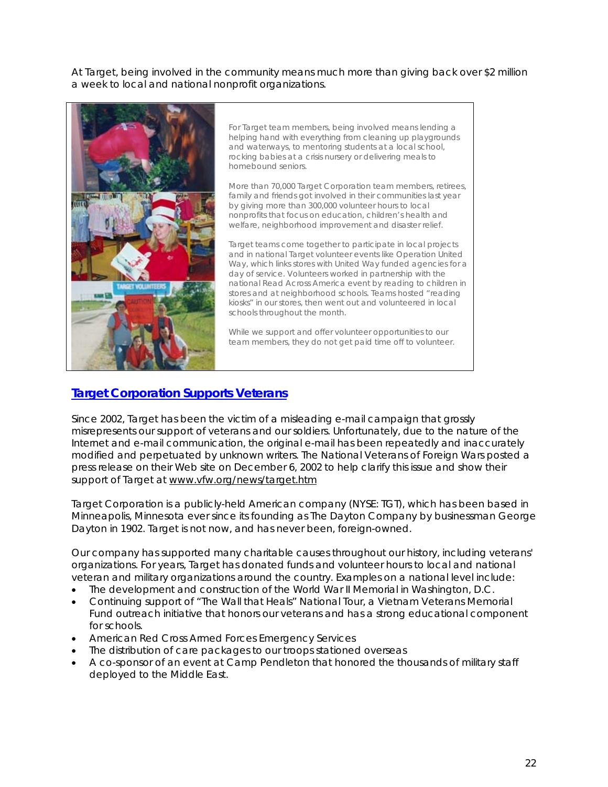At Target, being involved in the community means much more than giving back over \$2 million a week to local and national nonprofit organizations.



For Target team members, being involved means lending a helping hand with everything from cleaning up playgrounds and waterways, to mentoring students at a local school, rocking babies at a crisis nursery or delivering meals to homebound seniors.

More than 70,000 Target Corporation team members, retirees, family and friends got involved in their communities last year by giving more than 300,000 volunteer hours to local nonprofits that focus on education, children's health and welfare, neighborhood improvement and disaster relief.

Target teams come together to participate in local projects and in national Target volunteer events like Operation United Way, which links stores with United Way funded agencies for a day of service. Volunteers worked in partnership with the national Read Across America event by reading to children in stores and at neighborhood schools. Teams hosted "reading kiosks" in our stores, then went out and volunteered in local schools throughout the month.

While we support and offer volunteer opportunities to our team members, they do not get paid time off to volunteer.

# **Target Corporation Supports Veterans**

Since 2002, Target has been the victim of a misleading e-mail campaign that grossly misrepresents our support of veterans and our soldiers. Unfortunately, due to the nature of the Internet and e-mail communication, the original e-mail has been repeatedly and inaccurately modified and perpetuated by unknown writers. The National Veterans of Foreign Wars posted a press release on their Web site on December 6, 2002 to help clarify this issue and show their support of Target at www.vfw.org/news/target.htm

Target Corporation is a publicly-held American company (NYSE: TGT), which has been based in Minneapolis, Minnesota ever since its founding as The Dayton Company by businessman George Dayton in 1902. Target is not now, and has never been, foreign-owned.

Our company has supported many charitable causes throughout our history, including veterans' organizations. For years, Target has donated funds and volunteer hours to local and national veteran and military organizations around the country. Examples on a national level include:

- The development and construction of the World War II Memorial in Washington, D.C.
- Continuing support of "The Wall that Heals" National Tour, a Vietnam Veterans Memorial Fund outreach initiative that honors our veterans and has a strong educational component for schools.
- American Red Cross Armed Forces Emergency Services
- The distribution of care packages to our troops stationed overseas
- A co-sponsor of an event at Camp Pendleton that honored the thousands of military staff deployed to the Middle East.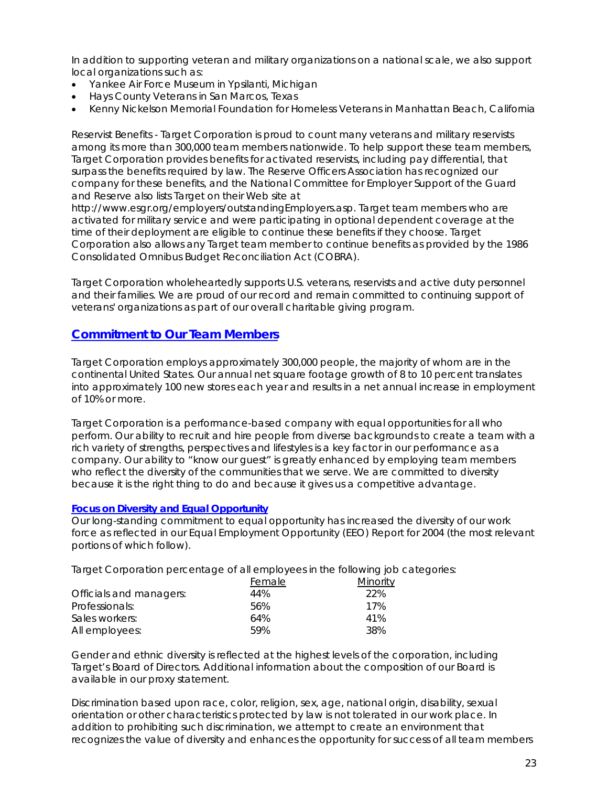In addition to supporting veteran and military organizations on a national scale, we also support local organizations such as:

- Yankee Air Force Museum in Ypsilanti, Michigan
- Hays County Veterans in San Marcos, Texas
- Kenny Nickelson Memorial Foundation for Homeless Veterans in Manhattan Beach, California

Reservist Benefits - Target Corporation is proud to count many veterans and military reservists among its more than 300,000 team members nationwide. To help support these team members, Target Corporation provides benefits for activated reservists, including pay differential, that surpass the benefits required by law. The Reserve Officers Association has recognized our company for these benefits, and the National Committee for Employer Support of the Guard and Reserve also lists Target on their Web site at

http://www.esgr.org/employers/outstandingEmployers.asp. Target team members who are activated for military service and were participating in optional dependent coverage at the time of their deployment are eligible to continue these benefits if they choose. Target Corporation also allows any Target team member to continue benefits as provided by the 1986 Consolidated Omnibus Budget Reconciliation Act (COBRA).

Target Corporation wholeheartedly supports U.S. veterans, reservists and active duty personnel and their families. We are proud of our record and remain committed to continuing support of veterans' organizations as part of our overall charitable giving program.

## **Commitment to Our Team Members**

Target Corporation employs approximately 300,000 people, the majority of whom are in the continental United States. Our annual net square footage growth of 8 to 10 percent translates into approximately 100 new stores each year and results in a net annual increase in employment of 10% or more.

Target Corporation is a performance-based company with equal opportunities for all who perform. Our ability to recruit and hire people from diverse backgrounds to create a team with a rich variety of strengths, perspectives and lifestyles is a key factor in our performance as a company. Our ability to "know our guest" is greatly enhanced by employing team members who reflect the diversity of the communities that we serve. We are committed to diversity because it is the right thing to do and because it gives us a competitive advantage.

### **Focus on Diversity and Equal Opportunity**

Our long-standing commitment to equal opportunity has increased the diversity of our work force as reflected in our Equal Employment Opportunity (EEO) Report for 2004 (the most relevant portions of which follow).

Target Corporation percentage of all employees in the following job categories:

|                         | Female | <u>Minority</u> |
|-------------------------|--------|-----------------|
| Officials and managers: | 44%    | 22%             |
| Professionals:          | 56%    | 17%             |
| Sales workers:          | 64%    | 41%             |
| All employees:          | 59%    | 38%             |

Gender and ethnic diversity is reflected at the highest levels of the corporation, including Target's Board of Directors. Additional information about the composition of our Board is available in our proxy statement.

Discrimination based upon race, color, religion, sex, age, national origin, disability, sexual orientation or other characteristics protected by law is not tolerated in our work place. In addition to prohibiting such discrimination, we attempt to create an environment that recognizes the value of diversity and enhances the opportunity for success of all team members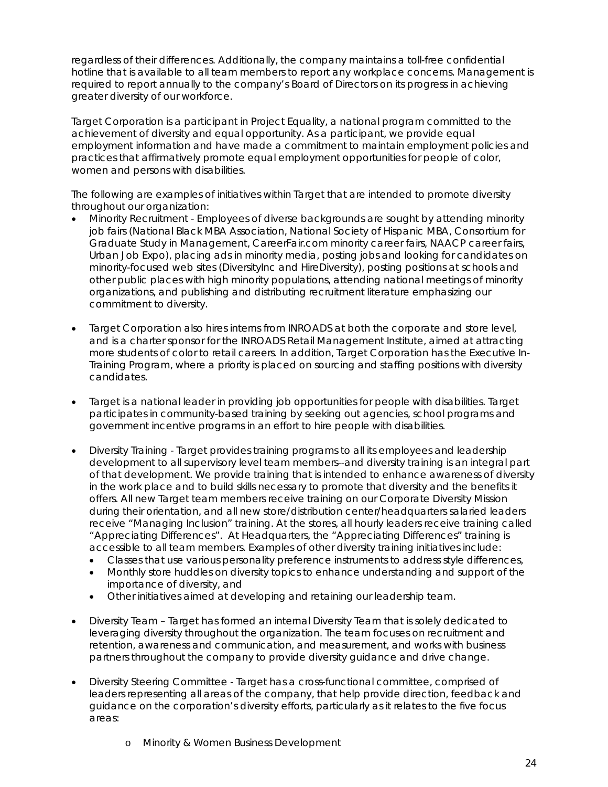regardless of their differences. Additionally, the company maintains a toll-free confidential hotline that is available to all team members to report any workplace concerns. Management is required to report annually to the company's Board of Directors on its progress in achieving greater diversity of our workforce.

Target Corporation is a participant in Project Equality, a national program committed to the achievement of diversity and equal opportunity. As a participant, we provide equal employment information and have made a commitment to maintain employment policies and practices that affirmatively promote equal employment opportunities for people of color, women and persons with disabilities.

The following are examples of initiatives within Target that are intended to promote diversity throughout our organization:

- Minority Recruitment Employees of diverse backgrounds are sought by attending minority job fairs (National Black MBA Association, National Society of Hispanic MBA, Consortium for Graduate Study in Management, CareerFair.com minority career fairs, NAACP career fairs, Urban Job Expo), placing ads in minority media, posting jobs and looking for candidates on minority-focused web sites (DiversityInc and HireDiversity), posting positions at schools and other public places with high minority populations, attending national meetings of minority organizations, and publishing and distributing recruitment literature emphasizing our commitment to diversity.
- Target Corporation also hires interns from INROADS at both the corporate and store level, and is a charter sponsor for the INROADS Retail Management Institute, aimed at attracting more students of color to retail careers. In addition, Target Corporation has the Executive In-Training Program, where a priority is placed on sourcing and staffing positions with diversity candidates.
- Target is a national leader in providing job opportunities for people with disabilities. Target participates in community-based training by seeking out agencies, school programs and government incentive programs in an effort to hire people with disabilities.
- Diversity Training Target provides training programs to all its employees and leadership development to all supervisory level team members--and diversity training is an integral part of that development. We provide training that is intended to enhance awareness of diversity in the work place and to build skills necessary to promote that diversity and the benefits it offers. All new Target team members receive training on our Corporate Diversity Mission during their orientation, and all new store/distribution center/headquarters salaried leaders receive "Managing Inclusion" training. At the stores, all hourly leaders receive training called "Appreciating Differences". At Headquarters, the "Appreciating Differences" training is accessible to all team members. Examples of other diversity training initiatives include:
	- Classes that use various personality preference instruments to address style differences,
	- Monthly store huddles on diversity topics to enhance understanding and support of the importance of diversity, and
	- Other initiatives aimed at developing and retaining our leadership team.
- Diversity Team Target has formed an internal Diversity Team that is solely dedicated to leveraging diversity throughout the organization. The team focuses on recruitment and retention, awareness and communication, and measurement, and works with business partners throughout the company to provide diversity guidance and drive change.
- Diversity Steering Committee Target has a cross-functional committee, comprised of leaders representing all areas of the company, that help provide direction, feedback and guidance on the corporation's diversity efforts, particularly as it relates to the five focus areas:
	- o Minority & Women Business Development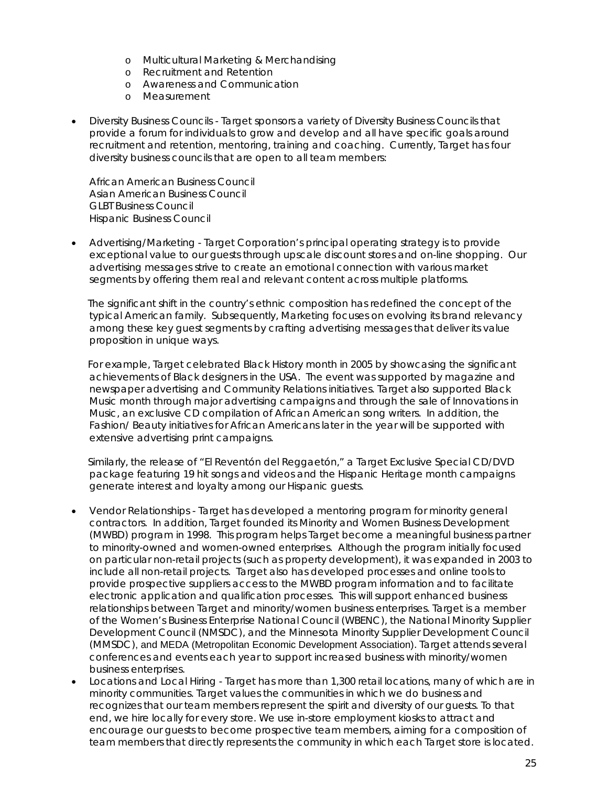- o Multicultural Marketing & Merchandising
- o Recruitment and Retention
- o Awareness and Communication
- o Measurement
- Diversity Business Councils Target sponsors a variety of Diversity Business Councils that provide a forum for individuals to grow and develop and all have specific goals around recruitment and retention, mentoring, training and coaching. Currently, Target has four diversity business councils that are open to all team members:

African American Business Council Asian American Business Council GLBT Business Council Hispanic Business Council

• Advertising/Marketing - Target Corporation's principal operating strategy is to provide exceptional value to our guests through upscale discount stores and on-line shopping. Our advertising messages strive to create an emotional connection with various market segments by offering them real and relevant content across multiple platforms.

 The significant shift in the country's ethnic composition has redefined the concept of the typical American family. Subsequently, Marketing focuses on evolving its brand relevancy among these key guest segments by crafting advertising messages that deliver its value proposition in unique ways.

 For example, Target celebrated Black History month in 2005 by showcasing the significant achievements of Black designers in the USA. The event was supported by magazine and newspaper advertising and Community Relations initiatives. Target also supported Black Music month through major advertising campaigns and through the sale of Innovations in Music, an exclusive CD compilation of African American song writers. In addition, the Fashion/ Beauty initiatives for African Americans later in the year will be supported with extensive advertising print campaigns.

 Similarly, the release of "El Reventón del Reggaetón," a Target Exclusive Special CD/DVD package featuring 19 hit songs and videos and the Hispanic Heritage month campaigns generate interest and loyalty among our Hispanic guests.

- Vendor Relationships Target has developed a mentoring program for minority general contractors. In addition, Target founded its Minority and Women Business Development (MWBD) program in 1998. This program helps Target become a meaningful business partner to minority-owned and women-owned enterprises. Although the program initially focused on particular non-retail projects (such as property development), it was expanded in 2003 to include all non-retail projects. Target also has developed processes and online tools to provide prospective suppliers access to the MWBD program information and to facilitate electronic application and qualification processes. This will support enhanced business relationships between Target and minority/women business enterprises. Target is a member of the Women's Business Enterprise National Council (WBENC), the National Minority Supplier Development Council (NMSDC), and the Minnesota Minority Supplier Development Council (MMSDC), and MEDA (Metropolitan Economic Development Association). Target attends several conferences and events each year to support increased business with minority/women business enterprises.
- Locations and Local Hiring Target has more than 1,300 retail locations, many of which are in minority communities. Target values the communities in which we do business and recognizes that our team members represent the spirit and diversity of our guests. To that end, we hire locally for every store. We use in-store employment kiosks to attract and encourage our guests to become prospective team members, aiming for a composition of team members that directly represents the community in which each Target store is located.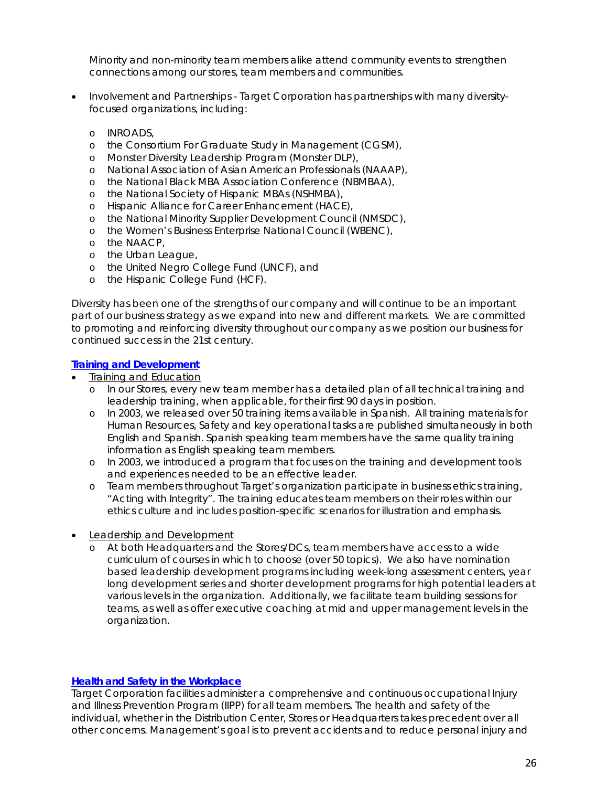Minority and non-minority team members alike attend community events to strengthen connections among our stores, team members and communities.

- Involvement and Partnerships Target Corporation has partnerships with many diversityfocused organizations, including:
	- o INROADS,
	- o the Consortium For Graduate Study in Management (CGSM),
	- o Monster Diversity Leadership Program (Monster DLP),
	- o National Association of Asian American Professionals (NAAAP),
	- o the National Black MBA Association Conference (NBMBAA),
	- o the National Society of Hispanic MBAs (NSHMBA),
	- o Hispanic Alliance for Career Enhancement (HACE),
	- o the National Minority Supplier Development Council (NMSDC),
	- o the Women's Business Enterprise National Council (WBENC),
	- o the NAACP,
	- o the Urban League,
	- o the United Negro College Fund (UNCF), and
	- o the Hispanic College Fund (HCF).

Diversity has been one of the strengths of our company and will continue to be an important part of our business strategy as we expand into new and different markets. We are committed to promoting and reinforcing diversity throughout our company as we position our business for continued success in the 21st century.

### **Training and Development**

- Training and Education
	- o In our Stores, every new team member has a detailed plan of all technical training and leadership training, when applicable, for their first 90 days in position.
	- o In 2003, we released over 50 training items available in Spanish. All training materials for Human Resources, Safety and key operational tasks are published simultaneously in both English and Spanish. Spanish speaking team members have the same quality training information as English speaking team members.
	- o In 2003, we introduced a program that focuses on the training and development tools and experiences needed to be an effective leader.
	- o Team members throughout Target's organization participate in business ethics training, "Acting with Integrity". The training educates team members on their roles within our ethics culture and includes position-specific scenarios for illustration and emphasis.
- Leadership and Development
	- o At both Headquarters and the Stores/DCs, team members have access to a wide curriculum of courses in which to choose (over 50 topics). We also have nomination based leadership development programs including week-long assessment centers, year long development series and shorter development programs for high potential leaders at various levels in the organization. Additionally, we facilitate team building sessions for teams, as well as offer executive coaching at mid and upper management levels in the organization.

### **Health and Safety in the Workplace**

Target Corporation facilities administer a comprehensive and continuous occupational Injury and Illness Prevention Program (IIPP) for all team members. The health and safety of the individual, whether in the Distribution Center, Stores or Headquarters takes precedent over all other concerns. Management's goal is to prevent accidents and to reduce personal injury and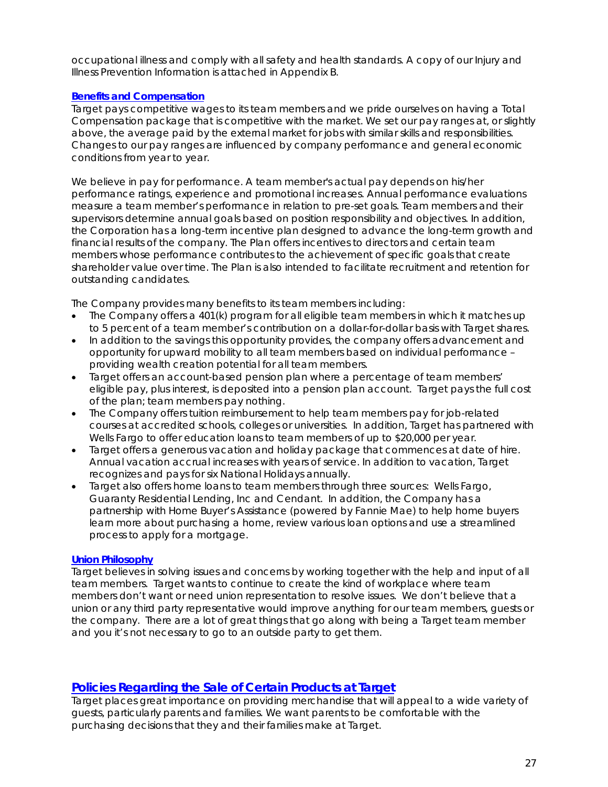occupational illness and comply with all safety and health standards. A copy of our Injury and Illness Prevention Information is attached in Appendix B.

### **Benefits and Compensation**

Target pays competitive wages to its team members and we pride ourselves on having a Total Compensation package that is competitive with the market. We set our pay ranges at, or slightly above, the average paid by the external market for jobs with similar skills and responsibilities. Changes to our pay ranges are influenced by company performance and general economic conditions from year to year.

We believe in pay for performance. A team member's actual pay depends on his/her performance ratings, experience and promotional increases. Annual performance evaluations measure a team member's performance in relation to pre-set goals. Team members and their supervisors determine annual goals based on position responsibility and objectives. In addition, the Corporation has a long-term incentive plan designed to advance the long-term growth and financial results of the company. The Plan offers incentives to directors and certain team members whose performance contributes to the achievement of specific goals that create shareholder value over time. The Plan is also intended to facilitate recruitment and retention for outstanding candidates.

The Company provides many benefits to its team members including:

- The Company offers a 401(k) program for all eligible team members in which it matches up to 5 percent of a team member's contribution on a dollar-for-dollar basis with Target shares.
- In addition to the savings this opportunity provides, the company offers advancement and opportunity for upward mobility to all team members based on individual performance – providing wealth creation potential for all team members.
- Target offers an account-based pension plan where a percentage of team members' eligible pay, plus interest, is deposited into a pension plan account. Target pays the full cost of the plan; team members pay nothing.
- The Company offers tuition reimbursement to help team members pay for job-related courses at accredited schools, colleges or universities. In addition, Target has partnered with Wells Fargo to offer education loans to team members of up to \$20,000 per year.
- Target offers a generous vacation and holiday package that commences at date of hire. Annual vacation accrual increases with years of service. In addition to vacation, Target recognizes and pays for six National Holidays annually.
- Target also offers home loans to team members through three sources: Wells Fargo, Guaranty Residential Lending, Inc and Cendant. In addition, the Company has a partnership with Home Buyer's Assistance (powered by Fannie Mae) to help home buyers learn more about purchasing a home, review various loan options and use a streamlined process to apply for a mortgage.

### **Union Philosophy**

Target believes in solving issues and concerns by working together with the help and input of all team members. Target wants to continue to create the kind of workplace where team members don't want or need union representation to resolve issues. We don't believe that a union or any third party representative would improve anything for our team members, guests or the company. There are a lot of great things that go along with being a Target team member and you it's not necessary to go to an outside party to get them.

# **Policies Regarding the Sale of Certain Products at Target**

Target places great importance on providing merchandise that will appeal to a wide variety of guests, particularly parents and families. We want parents to be comfortable with the purchasing decisions that they and their families make at Target.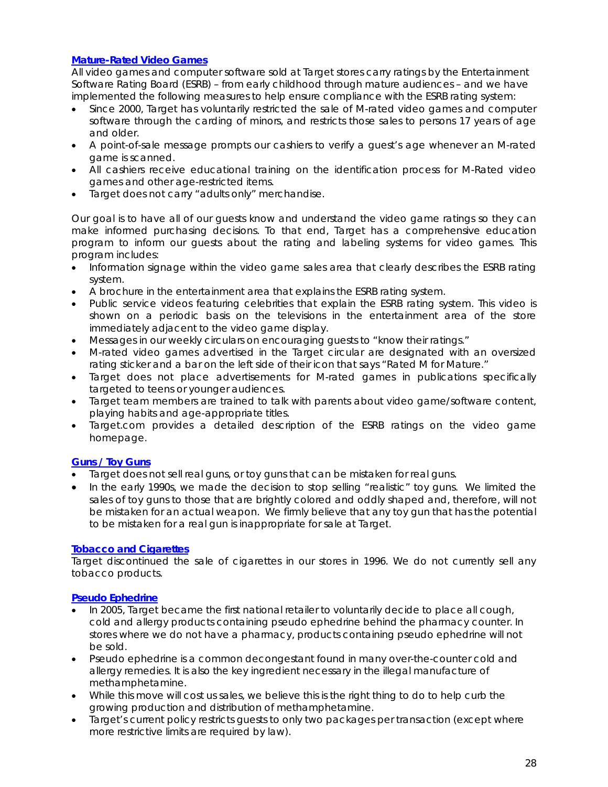### **Mature-Rated Video Games**

All video games and computer software sold at Target stores carry ratings by the Entertainment Software Rating Board (ESRB) – from early childhood through mature audiences – and we have implemented the following measures to help ensure compliance with the ESRB rating system:

- Since 2000, Target has voluntarily restricted the sale of M-rated video games and computer software through the carding of minors, and restricts those sales to persons 17 years of age and older.
- A point-of-sale message prompts our cashiers to verify a guest's age whenever an M-rated game is scanned.
- All cashiers receive educational training on the identification process for M-Rated video games and other age-restricted items.
- Target does not carry "adults only" merchandise.

Our goal is to have all of our guests know and understand the video game ratings so they can make informed purchasing decisions. To that end, Target has a comprehensive education program to inform our guests about the rating and labeling systems for video games. This program includes:

- Information signage within the video game sales area that clearly describes the ESRB rating system.
- A brochure in the entertainment area that explains the ESRB rating system.
- Public service videos featuring celebrities that explain the ESRB rating system. This video is shown on a periodic basis on the televisions in the entertainment area of the store immediately adjacent to the video game display.
- Messages in our weekly circulars on encouraging guests to "know their ratings."
- M-rated video games advertised in the Target circular are designated with an oversized rating sticker and a bar on the left side of their icon that says "Rated M for Mature."
- Target does not place advertisements for M-rated games in publications specifically targeted to teens or younger audiences.
- Target team members are trained to talk with parents about video game/software content, playing habits and age-appropriate titles.
- Target.com provides a detailed description of the ESRB ratings on the video game homepage.

### **Guns / Toy Guns**

- Target does not sell real guns, or toy guns that can be mistaken for real guns.
- In the early 1990s, we made the decision to stop selling "realistic" toy guns. We limited the sales of toy guns to those that are brightly colored and oddly shaped and, therefore, will not be mistaken for an actual weapon. We firmly believe that any toy gun that has the potential to be mistaken for a real gun is inappropriate for sale at Target.

### **Tobacco and Cigarettes**

Target discontinued the sale of cigarettes in our stores in 1996. We do not currently sell any tobacco products.

### **Pseudo Ephedrine**

- In 2005, Target became the first national retailer to voluntarily decide to place all cough, cold and allergy products containing pseudo ephedrine behind the pharmacy counter. In stores where we do not have a pharmacy, products containing pseudo ephedrine will not be sold.
- Pseudo ephedrine is a common decongestant found in many over-the-counter cold and allergy remedies. It is also the key ingredient necessary in the illegal manufacture of methamphetamine.
- While this move will cost us sales, we believe this is the right thing to do to help curb the growing production and distribution of methamphetamine.
- Target's current policy restricts guests to only two packages per transaction (except where more restrictive limits are required by law).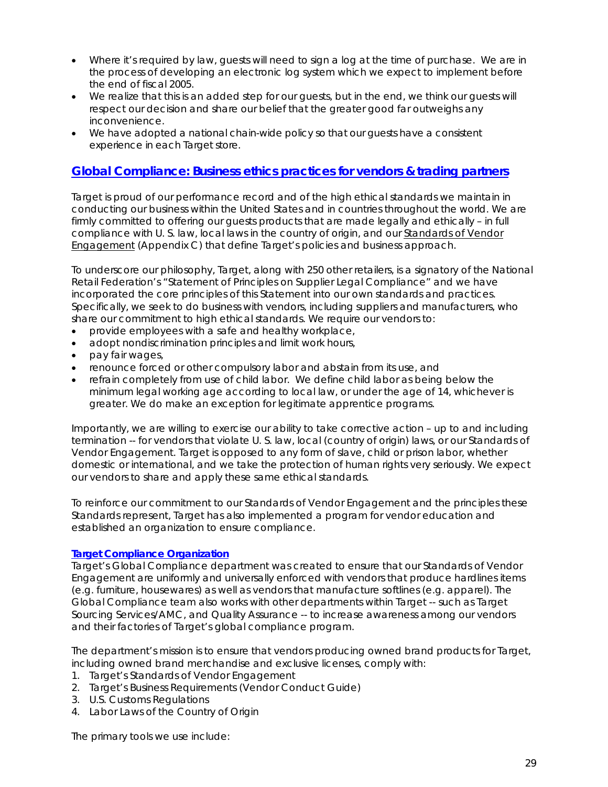- Where it's required by law, guests will need to sign a log at the time of purchase. We are in the process of developing an electronic log system which we expect to implement before the end of fiscal 2005.
- We realize that this is an added step for our guests, but in the end, we think our guests will respect our decision and share our belief that the greater good far outweighs any inconvenience.
- We have adopted a national chain-wide policy so that our guests have a consistent experience in each Target store.

# **Global Compliance: Business ethics practices for vendors & trading partners**

Target is proud of our performance record and of the high ethical standards we maintain in conducting our business within the United States and in countries throughout the world. We are firmly committed to offering our guests products that are made legally and ethically – in full compliance with U. S. law, local laws in the country of origin, and our Standards of Vendor Engagement (Appendix C) that define Target's policies and business approach.

To underscore our philosophy, Target, along with 250 other retailers, is a signatory of the National Retail Federation's "Statement of Principles on Supplier Legal Compliance" and we have incorporated the core principles of this Statement into our own standards and practices. Specifically, we seek to do business with vendors, including suppliers and manufacturers, who share our commitment to high ethical standards. We require our vendors to:

- provide employees with a safe and healthy workplace,
- adopt nondiscrimination principles and limit work hours,
- pay fair wages,
- renounce forced or other compulsory labor and abstain from its use, and
- refrain completely from use of child labor. We define child labor as being below the minimum legal working age according to local law, or under the age of 14, whichever is greater. We do make an exception for legitimate apprentice programs.

Importantly, we are willing to exercise our ability to take corrective action – up to and including termination -- for vendors that violate U. S. law, local (country of origin) laws, or our Standards of Vendor Engagement. Target is opposed to any form of slave, child or prison labor, whether domestic or international, and we take the protection of human rights very seriously. We expect our vendors to share and apply these same ethical standards.

To reinforce our commitment to our Standards of Vendor Engagement and the principles these Standards represent, Target has also implemented a program for vendor education and established an organization to ensure compliance.

### **Target Compliance Organization**

Target's Global Compliance department was created to ensure that our Standards of Vendor Engagement are uniformly and universally enforced with vendors that produce hardlines items (e.g. furniture, housewares) as well as vendors that manufacture softlines (e.g. apparel). The Global Compliance team also works with other departments within Target -- such as Target Sourcing Services/AMC, and Quality Assurance -- to increase awareness among our vendors and their factories of Target's global compliance program.

The department's mission is to ensure that vendors producing owned brand products for Target, including owned brand merchandise and exclusive licenses, comply with:

- 1. Target's Standards of Vendor Engagement
- 2. Target's Business Requirements (Vendor Conduct Guide)
- 3. U.S. Customs Regulations
- 4. Labor Laws of the Country of Origin

The primary tools we use include: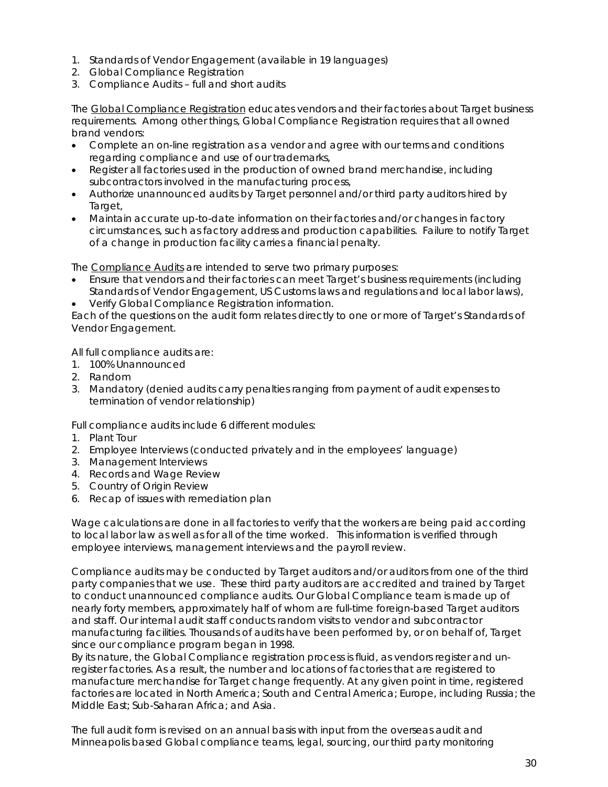- 1. Standards of Vendor Engagement (available in 19 languages)
- 2. Global Compliance Registration
- 3. Compliance Audits full and short audits

The Global Compliance Registration educates vendors and their factories about Target business requirements. Among other things, Global Compliance Registration requires that all owned brand vendors:

- Complete an on-line registration as a vendor and agree with our terms and conditions regarding compliance and use of our trademarks,
- Register all factories used in the production of owned brand merchandise, including subcontractors involved in the manufacturing process,
- Authorize unannounced audits by Target personnel and/or third party auditors hired by Target,
- Maintain accurate up-to-date information on their factories and/or changes in factory circumstances, such as factory address and production capabilities. Failure to notify Target of a change in production facility carries a financial penalty.

The Compliance Audits are intended to serve two primary purposes:

- Ensure that vendors and their factories can meet Target's business requirements (including Standards of Vendor Engagement, US Customs laws and regulations and local labor laws),
- Verify Global Compliance Registration information.

Each of the questions on the audit form relates directly to one or more of Target's Standards of Vendor Engagement.

All full compliance audits are:

- 1. 100% Unannounced
- 2. Random
- 3. Mandatory (denied audits carry penalties ranging from payment of audit expenses to termination of vendor relationship)

Full compliance audits include 6 different modules:

- 1. Plant Tour
- 2. Employee Interviews (conducted privately and in the employees' language)
- 3. Management Interviews
- 4. Records and Wage Review
- 5. Country of Origin Review
- 6. Recap of issues with remediation plan

Wage calculations are done in all factories to verify that the workers are being paid according to local labor law as well as for all of the time worked. This information is verified through employee interviews, management interviews and the payroll review.

Compliance audits may be conducted by Target auditors and/or auditors from one of the third party companies that we use. These third party auditors are accredited and trained by Target to conduct unannounced compliance audits. Our Global Compliance team is made up of nearly forty members, approximately half of whom are full-time foreign-based Target auditors and staff. Our internal audit staff conducts random visits to vendor and subcontractor manufacturing facilities. Thousands of audits have been performed by, or on behalf of, Target since our compliance program began in 1998.

By its nature, the Global Compliance registration process is fluid, as vendors register and unregister factories. As a result, the number and locations of factories that are registered to manufacture merchandise for Target change frequently. At any given point in time, registered factories are located in North America; South and Central America; Europe, including Russia; the Middle East; Sub-Saharan Africa; and Asia.

The full audit form is revised on an annual basis with input from the overseas audit and Minneapolis based Global compliance teams, legal, sourcing, our third party monitoring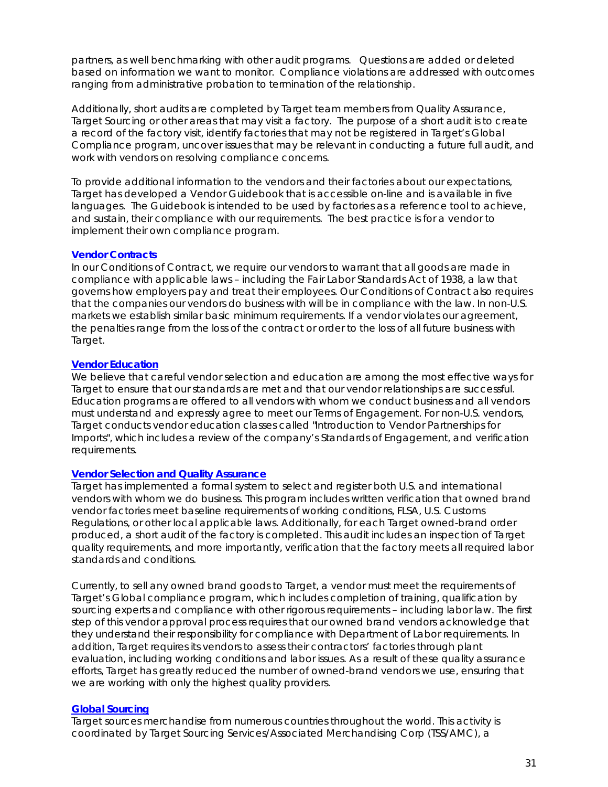partners, as well benchmarking with other audit programs. Questions are added or deleted based on information we want to monitor. Compliance violations are addressed with outcomes ranging from administrative probation to termination of the relationship.

Additionally, short audits are completed by Target team members from Quality Assurance, Target Sourcing or other areas that may visit a factory. The purpose of a short audit is to create a record of the factory visit, identify factories that may not be registered in Target's Global Compliance program, uncover issues that may be relevant in conducting a future full audit, and work with vendors on resolving compliance concerns.

To provide additional information to the vendors and their factories about our expectations, Target has developed a Vendor Guidebook that is accessible on-line and is available in five languages. The Guidebook is intended to be used by factories as a reference tool to achieve, and sustain, their compliance with our requirements. The best practice is for a vendor to implement their own compliance program.

### **Vendor Contracts**

In our Conditions of Contract, we require our vendors to warrant that all goods are made in compliance with applicable laws – including the Fair Labor Standards Act of 1938, a law that governs how employers pay and treat their employees. Our Conditions of Contract also requires that the companies our vendors do business with will be in compliance with the law. In non-U.S. markets we establish similar basic minimum requirements. If a vendor violates our agreement, the penalties range from the loss of the contract or order to the loss of all future business with Target.

### **Vendor Education**

We believe that careful vendor selection and education are among the most effective ways for Target to ensure that our standards are met and that our vendor relationships are successful. Education programs are offered to all vendors with whom we conduct business and all vendors must understand and expressly agree to meet our Terms of Engagement. For non-U.S. vendors, Target conducts vendor education classes called "Introduction to Vendor Partnerships for Imports", which includes a review of the company's Standards of Engagement, and verification requirements.

### **Vendor Selection and Quality Assurance**

Target has implemented a formal system to select and register both U.S. and international vendors with whom we do business. This program includes written verification that owned brand vendor factories meet baseline requirements of working conditions, FLSA, U.S. Customs Regulations, or other local applicable laws. Additionally, for each Target owned-brand order produced, a short audit of the factory is completed. This audit includes an inspection of Target quality requirements, and more importantly, verification that the factory meets all required labor standards and conditions.

Currently, to sell any owned brand goods to Target, a vendor must meet the requirements of Target's Global compliance program, which includes completion of training, qualification by sourcing experts and compliance with other rigorous requirements – including labor law. The first step of this vendor approval process requires that our owned brand vendors acknowledge that they understand their responsibility for compliance with Department of Labor requirements. In addition, Target requires its vendors to assess their contractors' factories through plant evaluation, including working conditions and labor issues. As a result of these quality assurance efforts, Target has greatly reduced the number of owned-brand vendors we use, ensuring that we are working with only the highest quality providers.

### **Global Sourcing**

Target sources merchandise from numerous countries throughout the world. This activity is coordinated by Target Sourcing Services/Associated Merchandising Corp (TSS/AMC), a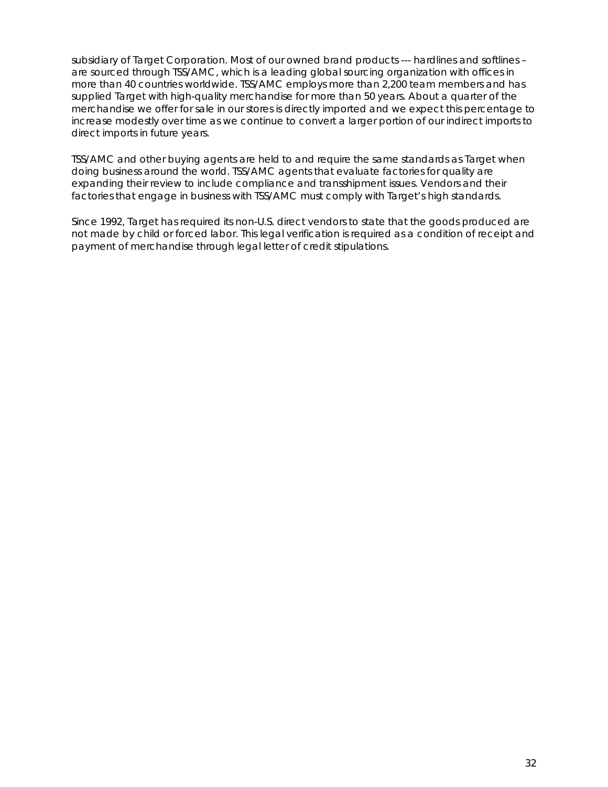subsidiary of Target Corporation. Most of our owned brand products --- hardlines and softlines – are sourced through TSS/AMC, which is a leading global sourcing organization with offices in more than 40 countries worldwide. TSS/AMC employs more than 2,200 team members and has supplied Target with high-quality merchandise for more than 50 years. About a quarter of the merchandise we offer for sale in our stores is directly imported and we expect this percentage to increase modestly over time as we continue to convert a larger portion of our indirect imports to direct imports in future years.

TSS/AMC and other buying agents are held to and require the same standards as Target when doing business around the world. TSS/AMC agents that evaluate factories for quality are expanding their review to include compliance and transshipment issues. Vendors and their factories that engage in business with TSS/AMC must comply with Target's high standards.

Since 1992, Target has required its non-U.S. direct vendors to state that the goods produced are not made by child or forced labor. This legal verification is required as a condition of receipt and payment of merchandise through legal letter of credit stipulations.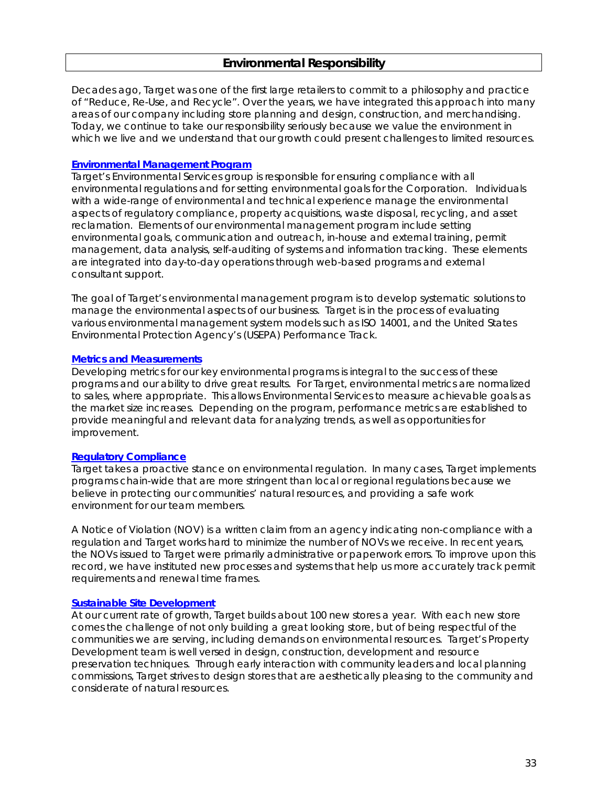Decades ago, Target was one of the first large retailers to commit to a philosophy and practice of "Reduce, Re-Use, and Recycle". Over the years, we have integrated this approach into many areas of our company including store planning and design, construction, and merchandising. Today, we continue to take our responsibility seriously because we value the environment in which we live and we understand that our growth could present challenges to limited resources.

### **Environmental Management Program**

Target's Environmental Services group is responsible for ensuring compliance with all environmental regulations and for setting environmental goals for the Corporation. Individuals with a wide-range of environmental and technical experience manage the environmental aspects of regulatory compliance, property acquisitions, waste disposal, recycling, and asset reclamation. Elements of our environmental management program include setting environmental goals, communication and outreach, in-house and external training, permit management, data analysis, self-auditing of systems and information tracking. These elements are integrated into day-to-day operations through web-based programs and external consultant support.

The goal of Target's environmental management program is to develop systematic solutions to manage the environmental aspects of our business. Target is in the process of evaluating various environmental management system models such as ISO 14001, and the United States Environmental Protection Agency's (USEPA) Performance Track.

### **Metrics and Measurements**

Developing metrics for our key environmental programs is integral to the success of these programs and our ability to drive great results. For Target, environmental metrics are normalized to sales, where appropriate. This allows Environmental Services to measure achievable goals as the market size increases. Depending on the program, performance metrics are established to provide meaningful and relevant data for analyzing trends, as well as opportunities for improvement.

### **Regulatory Compliance**

Target takes a proactive stance on environmental regulation. In many cases, Target implements programs chain-wide that are more stringent than local or regional regulations because we believe in protecting our communities' natural resources, and providing a safe work environment for our team members.

A Notice of Violation (NOV) is a written claim from an agency indicating non-compliance with a regulation and Target works hard to minimize the number of NOVs we receive. In recent years, the NOVs issued to Target were primarily administrative or paperwork errors. To improve upon this record, we have instituted new processes and systems that help us more accurately track permit requirements and renewal time frames.

### **Sustainable Site Development**

At our current rate of growth, Target builds about 100 new stores a year. With each new store comes the challenge of not only building a great looking store, but of being respectful of the communities we are serving, including demands on environmental resources. Target's Property Development team is well versed in design, construction, development and resource preservation techniques. Through early interaction with community leaders and local planning commissions, Target strives to design stores that are aesthetically pleasing to the community and considerate of natural resources.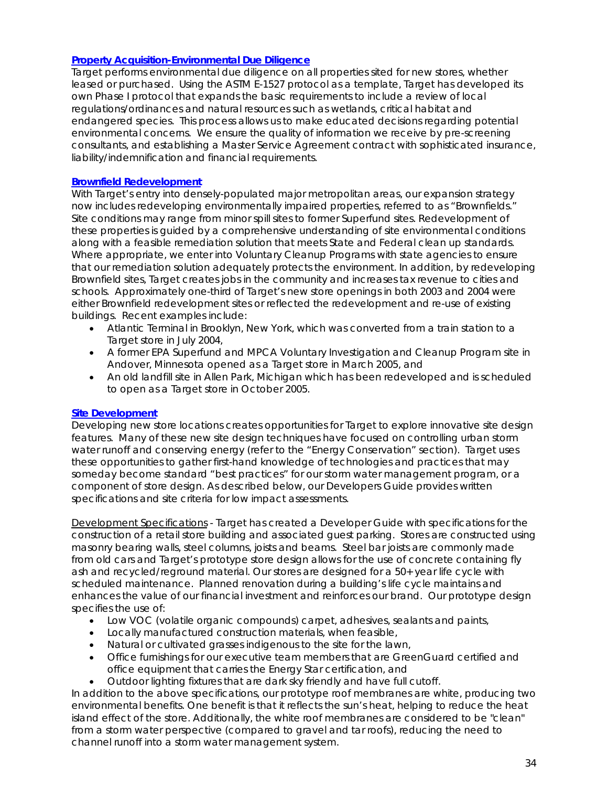### **Property Acquisition-Environmental Due Diligence**

Target performs environmental due diligence on all properties sited for new stores, whether leased or purchased. Using the ASTM E-1527 protocol as a template, Target has developed its own Phase I protocol that expands the basic requirements to include a review of local regulations/ordinances and natural resources such as wetlands, critical habitat and endangered species. This process allows us to make educated decisions regarding potential environmental concerns. We ensure the quality of information we receive by pre-screening consultants, and establishing a Master Service Agreement contract with sophisticated insurance, liability/indemnification and financial requirements.

### **Brownfield Redevelopment**

With Target's entry into densely-populated major metropolitan areas, our expansion strategy now includes redeveloping environmentally impaired properties, referred to as "Brownfields." Site conditions may range from minor spill sites to former Superfund sites. Redevelopment of these properties is guided by a comprehensive understanding of site environmental conditions along with a feasible remediation solution that meets State and Federal clean up standards. Where appropriate, we enter into Voluntary Cleanup Programs with state agencies to ensure that our remediation solution adequately protects the environment. In addition, by redeveloping Brownfield sites, Target creates jobs in the community and increases tax revenue to cities and schools. Approximately one-third of Target's new store openings in both 2003 and 2004 were either Brownfield redevelopment sites or reflected the redevelopment and re-use of existing buildings. Recent examples include:

- Atlantic Terminal in Brooklyn, New York, which was converted from a train station to a Target store in July 2004,
- A former EPA Superfund and MPCA Voluntary Investigation and Cleanup Program site in Andover, Minnesota opened as a Target store in March 2005, and
- An old landfill site in Allen Park, Michigan which has been redeveloped and is scheduled to open as a Target store in October 2005.

### **Site Development**

Developing new store locations creates opportunities for Target to explore innovative site design features. Many of these new site design techniques have focused on controlling urban storm water runoff and conserving energy (refer to the "Energy Conservation" section). Target uses these opportunities to gather first-hand knowledge of technologies and practices that may someday become standard "best practices" for our storm water management program, or a component of store design. As described below, our Developers Guide provides written specifications and site criteria for low impact assessments.

Development Specifications - Target has created a Developer Guide with specifications for the construction of a retail store building and associated guest parking. Stores are constructed using masonry bearing walls, steel columns, joists and beams. Steel bar joists are commonly made from old cars and Target's prototype store design allows for the use of concrete containing fly ash and recycled/reground material. Our stores are designed for a 50+ year life cycle with scheduled maintenance. Planned renovation during a building's life cycle maintains and enhances the value of our financial investment and reinforces our brand. Our prototype design specifies the use of:

- Low VOC (volatile organic compounds) carpet, adhesives, sealants and paints,
- Locally manufactured construction materials, when feasible,
- Natural or cultivated grasses indigenous to the site for the lawn,
- Office furnishings for our executive team members that are GreenGuard certified and office equipment that carries the Energy Star certification, and
- Outdoor lighting fixtures that are dark sky friendly and have full cutoff.

In addition to the above specifications, our prototype roof membranes are white, producing two environmental benefits. One benefit is that it reflects the sun's heat, helping to reduce the heat island effect of the store. Additionally, the white roof membranes are considered to be "clean" from a storm water perspective (compared to gravel and tar roofs), reducing the need to channel runoff into a storm water management system.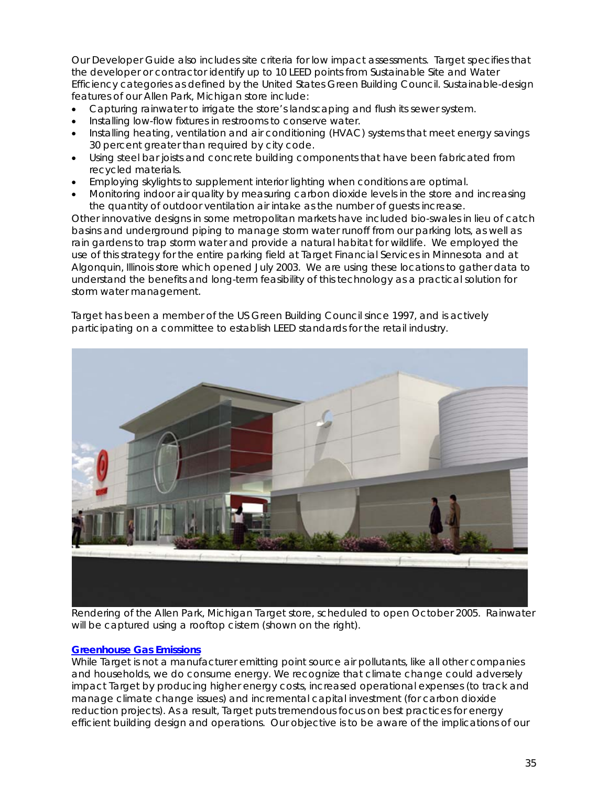Our Developer Guide also includes site criteria for low impact assessments. Target specifies that the developer or contractor identify up to 10 LEED points from Sustainable Site and Water Efficiency categories as defined by the United States Green Building Council. Sustainable-design features of our Allen Park, Michigan store include:

- Capturing rainwater to irrigate the store's landscaping and flush its sewer system.
- Installing low-flow fixtures in restrooms to conserve water.
- Installing heating, ventilation and air conditioning (HVAC) systems that meet energy savings 30 percent greater than required by city code.
- Using steel bar joists and concrete building components that have been fabricated from recycled materials.
- Employing skylights to supplement interior lighting when conditions are optimal.
- Monitoring indoor air quality by measuring carbon dioxide levels in the store and increasing the quantity of outdoor ventilation air intake as the number of guests increase.

Other innovative designs in some metropolitan markets have included bio-swales in lieu of catch basins and underground piping to manage storm water runoff from our parking lots, as well as rain gardens to trap storm water and provide a natural habitat for wildlife. We employed the use of this strategy for the entire parking field at Target Financial Services in Minnesota and at Algonquin, Illinois store which opened July 2003. We are using these locations to gather data to understand the benefits and long-term feasibility of this technology as a practical solution for storm water management.

Target has been a member of the US Green Building Council since 1997, and is actively participating on a committee to establish LEED standards for the retail industry.



*Rendering of the Allen Park, Michigan Target store, scheduled to open October 2005. Rainwater will be captured using a rooftop cistern (shown on the right).* 

### **Greenhouse Gas Emissions**

While Target is not a manufacturer emitting point source air pollutants, like all other companies and households, we do consume energy. We recognize that climate change could adversely impact Target by producing higher energy costs, increased operational expenses (to track and manage climate change issues) and incremental capital investment (for carbon dioxide reduction projects). As a result, Target puts tremendous focus on best practices for energy efficient building design and operations. Our objective is to be aware of the implications of our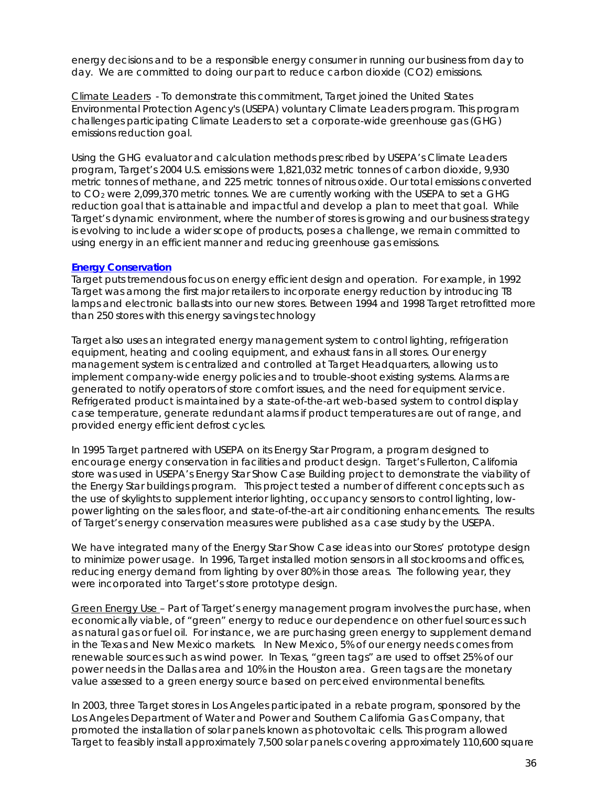energy decisions and to be a responsible energy consumer in running our business from day to day. We are committed to doing our part to reduce carbon dioxide (CO2) emissions.

Climate Leaders - To demonstrate this commitment, Target joined the United States Environmental Protection Agency's (USEPA) voluntary Climate Leaders program. This program challenges participating Climate Leaders to set a corporate-wide greenhouse gas (GHG) emissions reduction goal.

Using the GHG evaluator and calculation methods prescribed by USEPA's Climate Leaders program, Target's 2004 U.S. emissions were 1,821,032 metric tonnes of carbon dioxide, 9,930 metric tonnes of methane, and 225 metric tonnes of nitrous oxide. Our total emissions converted to CO<sub>2</sub> were 2,099,370 metric tonnes. We are currently working with the USEPA to set a GHG reduction goal that is attainable and impactful and develop a plan to meet that goal. While Target's dynamic environment, where the number of stores is growing and our business strategy is evolving to include a wider scope of products, poses a challenge, we remain committed to using energy in an efficient manner and reducing greenhouse gas emissions.

### **Energy Conservation**

Target puts tremendous focus on energy efficient design and operation. For example, in 1992 Target was among the first major retailers to incorporate energy reduction by introducing T8 lamps and electronic ballasts into our new stores. Between 1994 and 1998 Target retrofitted more than 250 stores with this energy savings technology

Target also uses an integrated energy management system to control lighting, refrigeration equipment, heating and cooling equipment, and exhaust fans in all stores. Our energy management system is centralized and controlled at Target Headquarters, allowing us to implement company-wide energy policies and to trouble-shoot existing systems. Alarms are generated to notify operators of store comfort issues, and the need for equipment service. Refrigerated product is maintained by a state-of-the-art web-based system to control display case temperature, generate redundant alarms if product temperatures are out of range, and provided energy efficient defrost cycles.

In 1995 Target partnered with USEPA on its Energy Star Program, a program designed to encourage energy conservation in facilities and product design. Target's Fullerton, California store was used in USEPA's Energy Star Show Case Building project to demonstrate the viability of the Energy Star buildings program. This project tested a number of different concepts such as the use of skylights to supplement interior lighting, occupancy sensors to control lighting, lowpower lighting on the sales floor, and state-of-the-art air conditioning enhancements. The results of Target's energy conservation measures were published as a case study by the USEPA.

We have integrated many of the Energy Star Show Case ideas into our Stores' prototype design to minimize power usage. In 1996, Target installed motion sensors in all stockrooms and offices, reducing energy demand from lighting by over 80% in those areas. The following year, they were incorporated into Target's store prototype design.

Green Energy Use – Part of Target's energy management program involves the purchase, when economically viable, of "green" energy to reduce our dependence on other fuel sources such as natural gas or fuel oil. For instance, we are purchasing green energy to supplement demand in the Texas and New Mexico markets. In New Mexico, 5% of our energy needs comes from renewable sources such as wind power. In Texas, "green tags" are used to offset 25% of our power needs in the Dallas area and 10% in the Houston area. Green tags are the monetary value assessed to a green energy source based on perceived environmental benefits.

In 2003, three Target stores in Los Angeles participated in a rebate program, sponsored by the Los Angeles Department of Water and Power and Southern California Gas Company, that promoted the installation of solar panels known as photovoltaic cells. This program allowed Target to feasibly install approximately 7,500 solar panels covering approximately 110,600 square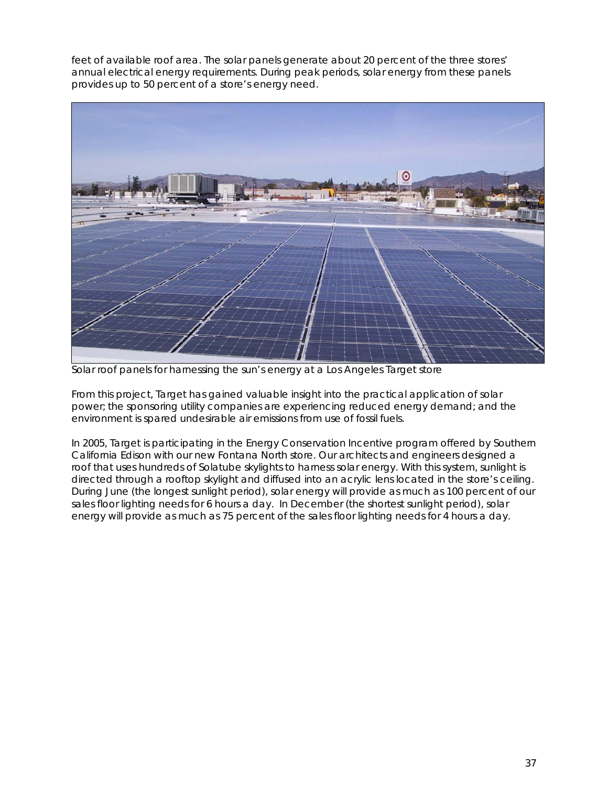feet of available roof area. The solar panels generate about 20 percent of the three stores' annual electrical energy requirements. During peak periods, solar energy from these panels provides up to 50 percent of a store's energy need.



*Solar roof panels for harnessing the sun's energy at a Los Angeles Target store* 

From this project, Target has gained valuable insight into the practical application of solar power; the sponsoring utility companies are experiencing reduced energy demand; and the environment is spared undesirable air emissions from use of fossil fuels.

In 2005, Target is participating in the Energy Conservation Incentive program offered by Southern California Edison with our new Fontana North store. Our architects and engineers designed a roof that uses hundreds of Solatube skylights to harness solar energy. With this system, sunlight is directed through a rooftop skylight and diffused into an acrylic lens located in the store's ceiling. During June (the longest sunlight period), solar energy will provide as much as 100 percent of our sales floor lighting needs for 6 hours a day. In December (the shortest sunlight period), solar energy will provide as much as 75 percent of the sales floor lighting needs for 4 hours a day.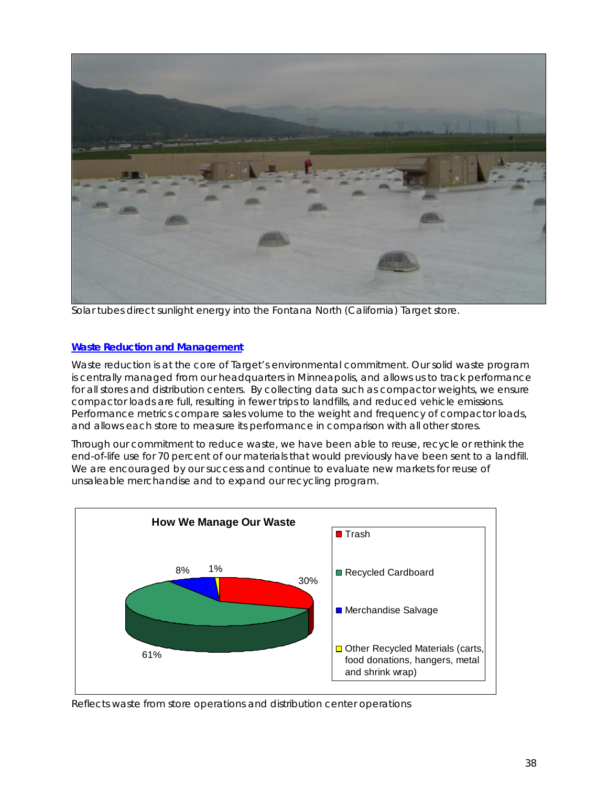

*Solar tubes direct sunlight energy into the Fontana North (California) Target store.* 

### **Waste Reduction and Management**

Waste reduction is at the core of Target's environmental commitment. Our solid waste program is centrally managed from our headquarters in Minneapolis, and allows us to track performance for all stores and distribution centers. By collecting data such as compactor weights, we ensure compactor loads are full, resulting in fewer trips to landfills, and reduced vehicle emissions. Performance metrics compare sales volume to the weight and frequency of compactor loads, and allows each store to measure its performance in comparison with all other stores.

Through our commitment to reduce waste, we have been able to reuse, recycle or rethink the end-of-life use for 70 percent of our materials that would previously have been sent to a landfill. We are encouraged by our success and continue to evaluate new markets for reuse of unsaleable merchandise and to expand our recycling program.



*Reflects waste from store operations and distribution center operations*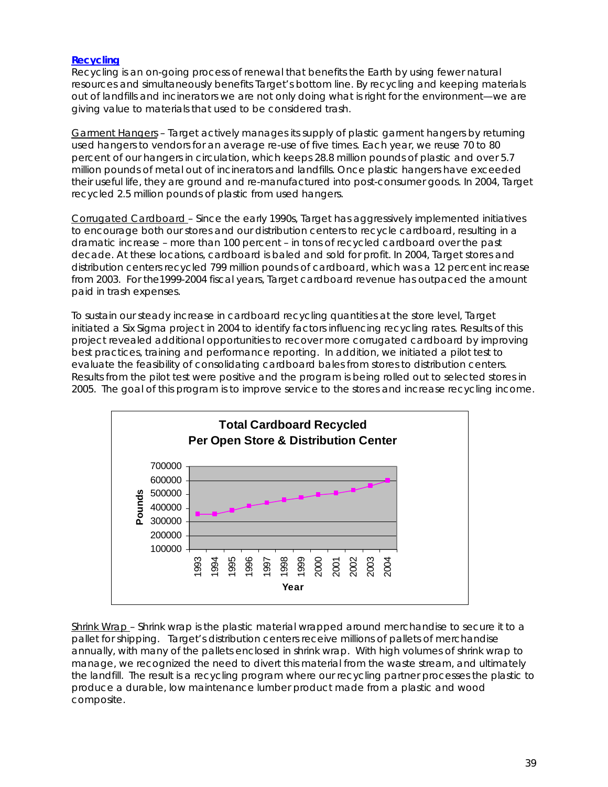### **Recycling**

Recycling is an on-going process of renewal that benefits the Earth by using fewer natural resources and simultaneously benefits Target's bottom line. By recycling and keeping materials out of landfills and incinerators we are not only doing what is right for the environment—we are giving value to materials that used to be considered trash.

Garment Hangers – Target actively manages its supply of plastic garment hangers by returning used hangers to vendors for an average re-use of five times. Each year, we reuse 70 to 80 percent of our hangers in circulation, which keeps 28.8 million pounds of plastic and over 5.7 million pounds of metal out of incinerators and landfills. Once plastic hangers have exceeded their useful life, they are ground and re-manufactured into post-consumer goods. In 2004, Target recycled 2.5 million pounds of plastic from used hangers.

Corrugated Cardboard – Since the early 1990s, Target has aggressively implemented initiatives to encourage both our stores and our distribution centers to recycle cardboard, resulting in a dramatic increase – more than 100 percent – in tons of recycled cardboard over the past decade. At these locations, cardboard is baled and sold for profit. In 2004, Target stores and distribution centers recycled 799 million pounds of cardboard, which was a 12 percent increase from 2003. For the1999-2004 fiscal years, Target cardboard revenue has outpaced the amount paid in trash expenses.

To sustain our steady increase in cardboard recycling quantities at the store level, Target initiated a Six Sigma project in 2004 to identify factors influencing recycling rates. Results of this project revealed additional opportunities to recover more corrugated cardboard by improving best practices, training and performance reporting. In addition, we initiated a pilot test to evaluate the feasibility of consolidating cardboard bales from stores to distribution centers. Results from the pilot test were positive and the program is being rolled out to selected stores in 2005. The goal of this program is to improve service to the stores and increase recycling income.



Shrink Wrap – Shrink wrap is the plastic material wrapped around merchandise to secure it to a pallet for shipping. Target's distribution centers receive millions of pallets of merchandise annually, with many of the pallets enclosed in shrink wrap. With high volumes of shrink wrap to manage, we recognized the need to divert this material from the waste stream, and ultimately the landfill. The result is a recycling program where our recycling partner processes the plastic to produce a durable, low maintenance lumber product made from a plastic and wood composite.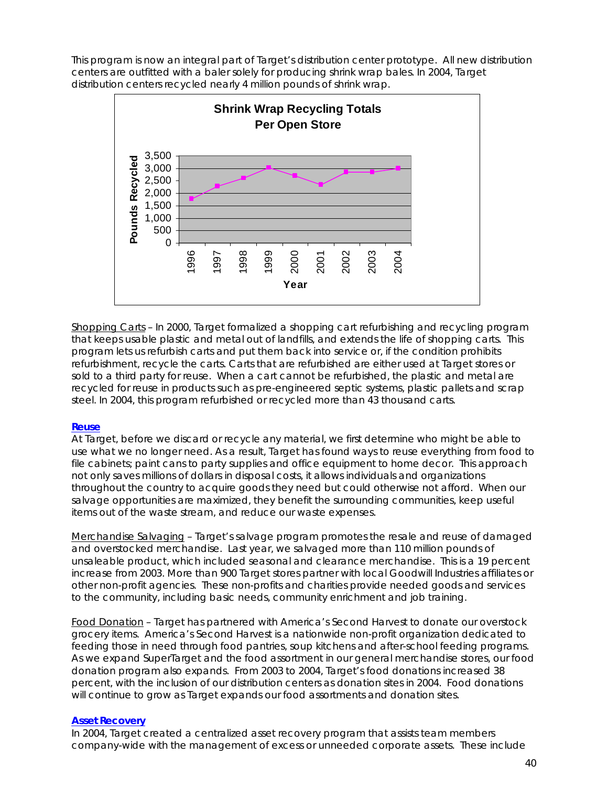This program is now an integral part of Target's distribution center prototype. All new distribution centers are outfitted with a baler solely for producing shrink wrap bales. In 2004, Target distribution centers recycled nearly 4 million pounds of shrink wrap.



Shopping Carts – In 2000, Target formalized a shopping cart refurbishing and recycling program that keeps usable plastic and metal out of landfills, and extends the life of shopping carts. This program lets us refurbish carts and put them back into service or, if the condition prohibits refurbishment, recycle the carts. Carts that are refurbished are either used at Target stores or sold to a third party for reuse. When a cart cannot be refurbished, the plastic and metal are recycled for reuse in products such as pre-engineered septic systems, plastic pallets and scrap steel. In 2004, this program refurbished or recycled more than 43 thousand carts.

### **Reuse**

At Target, before we discard or recycle any material, we first determine who might be able to use what we no longer need. As a result, Target has found ways to reuse everything from food to file cabinets; paint cans to party supplies and office equipment to home decor. This approach not only saves millions of dollars in disposal costs, it allows individuals and organizations throughout the country to acquire goods they need but could otherwise not afford. When our salvage opportunities are maximized, they benefit the surrounding communities, keep useful items out of the waste stream, and reduce our waste expenses.

Merchandise Salvaging – Target's salvage program promotes the resale and reuse of damaged and overstocked merchandise. Last year, we salvaged more than 110 million pounds of unsaleable product, which included seasonal and clearance merchandise. This is a 19 percent increase from 2003. More than 900 Target stores partner with local Goodwill Industries affiliates or other non-profit agencies. These non-profits and charities provide needed goods and services to the community, including basic needs, community enrichment and job training.

Food Donation – Target has partnered with America's Second Harvest to donate our overstock grocery items. America's Second Harvest is a nationwide non-profit organization dedicated to feeding those in need through food pantries, soup kitchens and after-school feeding programs. As we expand SuperTarget and the food assortment in our general merchandise stores, our food donation program also expands. From 2003 to 2004, Target's food donations increased 38 percent, with the inclusion of our distribution centers as donation sites in 2004. Food donations will continue to grow as Target expands our food assortments and donation sites.

### **Asset Recovery**

In 2004, Target created a centralized asset recovery program that assists team members company-wide with the management of excess or unneeded corporate assets. These include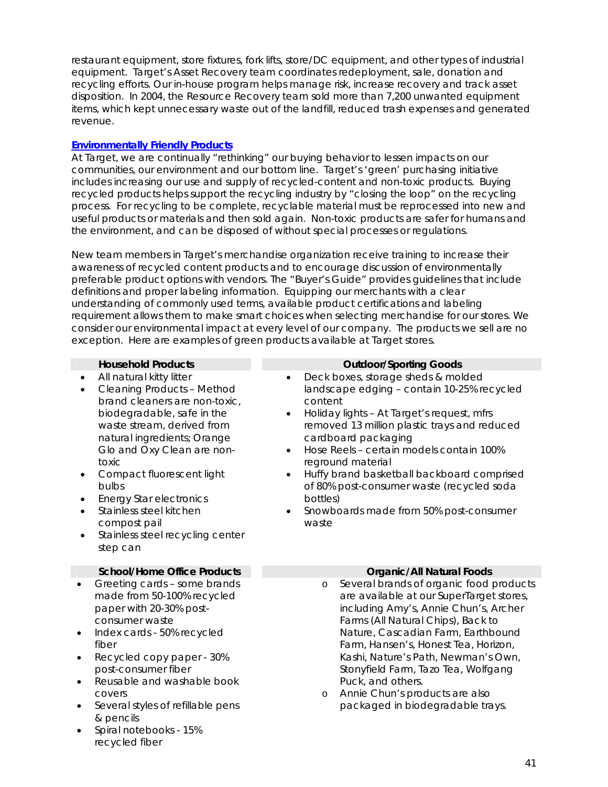restaurant equipment, store fixtures, fork lifts, store/DC equipment, and other types of industrial equipment. Target's Asset Recovery team coordinates redeployment, sale, donation and recycling efforts. Our in-house program helps manage risk, increase recovery and track asset disposition. In 2004, the Resource Recovery team sold more than 7,200 unwanted equipment items, which kept unnecessary waste out of the landfill, reduced trash expenses and generated revenue.

### **Environmentally Friendly Products**

• Spiral notebooks - 15%

recycled fiber

At Target, we are continually "rethinking" our buying behavior to lessen impacts on our communities, our environment and our bottom line. Target's 'green' purchasing initiative includes increasing our use and supply of recycled-content and non-toxic products. Buying recycled products helps support the recycling industry by "closing the loop" on the recycling process. For recycling to be complete, recyclable material must be reprocessed into new and useful products or materials and then sold again. Non-toxic products are safer for humans and the environment, and can be disposed of without special processes or regulations.

New team members in Target's merchandise organization receive training to increase their awareness of recycled content products and to encourage discussion of environmentally preferable product options with vendors. The "Buyer's Guide" provides guidelines that include definitions and proper labeling information. Equipping our merchants with a clear understanding of commonly used terms, available product certifications and labeling requirement allows them to make smart choices when selecting merchandise for our stores. We consider our environmental impact at every level of our company. The products we sell are no exception. Here are examples of green products available at Target stores.

|                                                                                  | <b>Household Products</b>                                                                                                                                                                                                                                                                                                                                                         |                                                               |                              | <b>Outdoor/Sporting Goods</b>                                                                                                                                                                                                                                                                                                                                                                                             |
|----------------------------------------------------------------------------------|-----------------------------------------------------------------------------------------------------------------------------------------------------------------------------------------------------------------------------------------------------------------------------------------------------------------------------------------------------------------------------------|---------------------------------------------------------------|------------------------------|---------------------------------------------------------------------------------------------------------------------------------------------------------------------------------------------------------------------------------------------------------------------------------------------------------------------------------------------------------------------------------------------------------------------------|
| ٠<br>toxic<br>bulbs<br>$\bullet$                                                 | All natural kitty litter<br><b>Cleaning Products - Method</b><br>brand cleaners are non-toxic,<br>biodegradable, safe in the<br>waste stream, derived from<br>natural ingredients; Orange<br>Glo and Oxy Clean are non-<br>Compact fluorescent light<br><b>Energy Star electronics</b><br>Stainless steel kitchen<br>compost pail<br>Stainless steel recycling center<br>step can | $\bullet$<br>$\bullet$<br>$\bullet$<br>$\bullet$<br>$\bullet$ | content<br>bottles)<br>waste | Deck boxes, storage sheds & molded<br>landscape edging - contain 10-25% recycled<br>Holiday lights - At Target's request, mfrs<br>removed 13 million plastic trays and reduced<br>cardboard packaging<br>Hose Reels - certain models contain 100%<br>reground material<br>Huffy brand basketball backboard comprised<br>of 80% post-consumer waste (recycled soda<br>Snowboards made from 50% post-consumer               |
|                                                                                  | <b>School/Home Office Products</b>                                                                                                                                                                                                                                                                                                                                                |                                                               |                              | <b>Organic/All Natural Foods</b>                                                                                                                                                                                                                                                                                                                                                                                          |
| $\bullet$<br>$\bullet$<br>fiber<br>$\bullet$<br>$\bullet$<br>covers<br>$\bullet$ | Greeting cards - some brands<br>made from 50-100% recycled<br>paper with 20-30% post-<br>consumer waste<br>Index cards - 50% recycled<br>Recycled copy paper - 30%<br>post-consumer fiber<br>Reusable and washable book<br>Several styles of refillable pens<br>& pencils                                                                                                         |                                                               | $\circ$<br>$\circ$           | Several brands of organic food products<br>are available at our SuperTarget stores,<br>including Amy's, Annie Chun's, Archer<br>Farms (All Natural Chips), Back to<br>Nature, Cascadian Farm, Earthbound<br>Farm, Hansen's, Honest Tea, Horizon,<br>Kashi, Nature's Path, Newman's Own,<br>Stonyfield Farm, Tazo Tea, Wolfgang<br>Puck, and others.<br>Annie Chun's products are also<br>packaged in biodegradable trays. |

41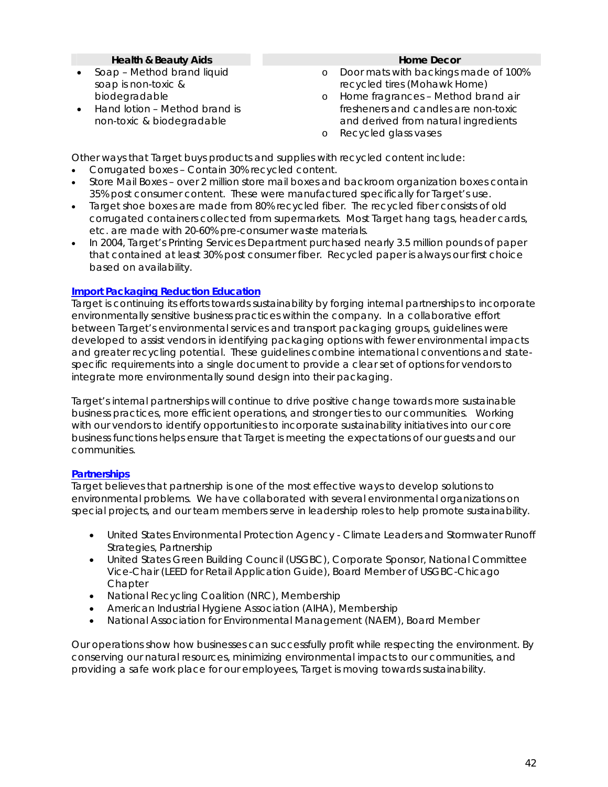### **Health & Beauty Aids Home Decor Home Decor**

- Soap Method brand liquid soap is non-toxic & biodegradable
- Hand lotion Method brand is non-toxic & biodegradable

- o Door mats with backings made of 100% recycled tires (Mohawk Home)
- o Home fragrances Method brand air fresheners and candles are non-toxic and derived from natural ingredients
- o Recycled glass vases

Other ways that Target buys products and supplies with recycled content include:

- Corrugated boxes Contain 30% recycled content.
- Store Mail Boxes over 2 million store mail boxes and backroom organization boxes contain 35% post consumer content. These were manufactured specifically for Target's use.
- Target shoe boxes are made from 80% recycled fiber*.* The recycled fiber consists of old corrugated containers collected from supermarkets. Most Target hang tags, header cards, etc. are made with 20-60% pre-consumer waste materials.
- In 2004, Target's Printing Services Department purchased nearly 3.5 million pounds of paper that contained at least 30% post consumer fiber. Recycled paper is always our first choice based on availability.

### **Import Packaging Reduction Education**

Target is continuing its efforts towards sustainability by forging internal partnerships to incorporate environmentally sensitive business practices within the company. In a collaborative effort between Target's environmental services and transport packaging groups, guidelines were developed to assist vendors in identifying packaging options with fewer environmental impacts and greater recycling potential. These guidelines combine international conventions and statespecific requirements into a single document to provide a clear set of options for vendors to integrate more environmentally sound design into their packaging.

Target's internal partnerships will continue to drive positive change towards more sustainable business practices, more efficient operations, and stronger ties to our communities. Working with our vendors to identify opportunities to incorporate sustainability initiatives into our core business functions helps ensure that Target is meeting the expectations of our guests and our communities.

### **Partnerships**

Target believes that partnership is one of the most effective ways to develop solutions to environmental problems. We have collaborated with several environmental organizations on special projects, and our team members serve in leadership roles to help promote sustainability.

- United States Environmental Protection Agency Climate Leaders and Stormwater Runoff Strategies, Partnership
- United States Green Building Council (USGBC), Corporate Sponsor, National Committee Vice-Chair (LEED for Retail Application Guide), Board Member of USGBC-Chicago **Chapter**
- National Recycling Coalition (NRC), Membership
- American Industrial Hygiene Association (AIHA), Membership
- National Association for Environmental Management (NAEM), Board Member

Our operations show how businesses can successfully profit while respecting the environment. By conserving our natural resources, minimizing environmental impacts to our communities, and providing a safe work place for our employees, Target is moving towards sustainability.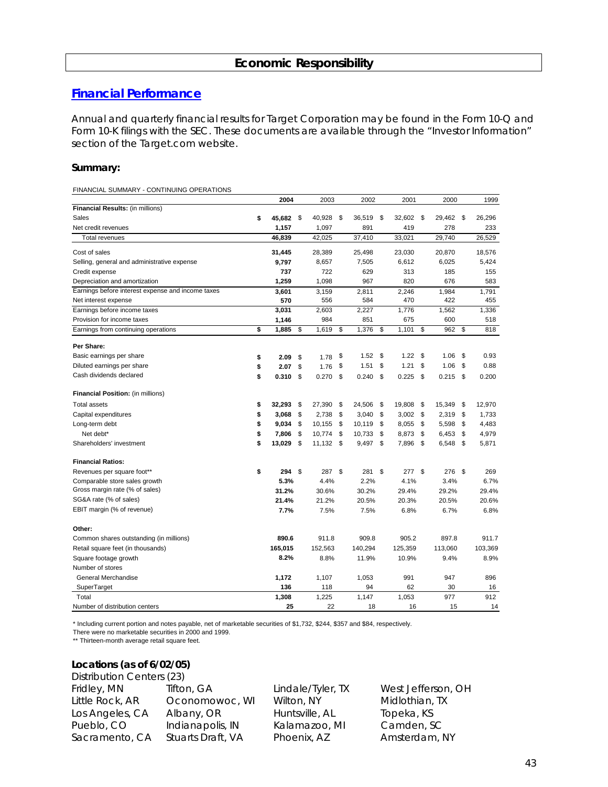# **Economic Responsibility**

### **Financial Performance**

Annual and quarterly financial results for Target Corporation may be found in the Form 10-Q and Form 10-K filings with the SEC. These documents are available through the "Investor Information" section of the Target.com website.

### **Summary:**

FINANCIAL SUMMARY - CONTINUING OPERATIONS

|                                                   | 2004            |      | 2003    |     | 2002       | 2001         |          | 2000    | 1999         |
|---------------------------------------------------|-----------------|------|---------|-----|------------|--------------|----------|---------|--------------|
| Financial Results: (in millions)                  |                 |      |         |     |            |              |          |         |              |
| Sales                                             | \$<br>45,682 \$ |      | 40,928  | -\$ | 36,519     | \$<br>32,602 | \$       | 29,462  | \$<br>26,296 |
| Net credit revenues                               | 1,157           |      | 1,097   |     | 891        | 419          |          | 278     | 233          |
| <b>Total revenues</b>                             | 46.839          |      | 42,025  |     | 37.410     | 33.021       |          | 29.740  | 26,529       |
| Cost of sales                                     | 31,445          |      | 28,389  |     | 25,498     | 23,030       |          | 20,870  | 18,576       |
| Selling, general and administrative expense       | 9,797           |      | 8,657   |     | 7,505      | 6,612        |          | 6,025   | 5,424        |
| Credit expense                                    | 737             |      | 722     |     | 629        | 313          |          | 185     | 155          |
| Depreciation and amortization                     | 1,259           |      | 1,098   |     | 967        | 820          |          | 676     | 583          |
| Earnings before interest expense and income taxes | 3,601           |      | 3,159   |     | 2,811      | 2.246        |          | 1.984   | 1.791        |
| Net interest expense                              | 570             |      | 556     |     | 584        | 470          |          | 422     | 455          |
| Earnings before income taxes                      | 3,031           |      | 2,603   |     | 2,227      | 1,776        |          | 1,562   | 1,336        |
| Provision for income taxes                        | 1,146           |      | 984     |     | 851        | 675          |          | 600     | 518          |
| Earnings from continuing operations               | \$<br>1,885     | \$   | 1,619   | \$  | 1,376      | \$<br>1,101  | \$       | 962     | \$<br>818    |
| Per Share:                                        |                 |      |         |     |            |              |          |         |              |
| Basic earnings per share                          | \$<br>2.09      | \$   | 1.78    | \$  | 1.52       | \$<br>1.22   | \$       | 1.06    | \$<br>0.93   |
| Diluted earnings per share                        | \$<br>2.07      | \$   | 1.76    | \$  | 1.51       | \$<br>1.21   | \$       | 1.06    | \$<br>0.88   |
| Cash dividends declared                           | \$<br>0.310     | \$   | 0.270   | \$  | $0.240$ \$ | 0.225        | -S       | 0.215   | \$<br>0.200  |
| Financial Position: (in millions)                 |                 |      |         |     |            |              |          |         |              |
| <b>Total assets</b>                               | \$<br>32,293    | -\$  | 27,390  | \$  | 24,506     | \$<br>19,808 | \$       | 15,349  | \$<br>12,970 |
| Capital expenditures                              | \$<br>3,068     | - \$ | 2,738   | \$  | 3,040      | \$<br>3,002  | \$       | 2,319   | \$<br>1,733  |
| Long-term debt                                    | \$<br>9,034     | -\$  | 10,155  | \$  | 10,119     | \$<br>8,055  | \$       | 5,598   | \$<br>4,483  |
| Net debt*                                         | \$<br>7,806     | \$   | 10,774  | \$  | 10,733     | \$<br>8,873  | \$       | 6,453   | \$<br>4,979  |
| Shareholders' investment                          | \$<br>13,029    | - \$ | 11,132  | \$  | 9,497 \$   | 7,896        | \$       | 6,548   | \$<br>5,871  |
| <b>Financial Ratios:</b>                          |                 |      |         |     |            |              |          |         |              |
| Revenues per square foot**                        | \$<br>294       | - \$ | 287     | \$  | 281        | \$<br>277    | <b>S</b> | 276     | \$<br>269    |
| Comparable store sales growth                     | 5.3%            |      | 4.4%    |     | 2.2%       | 4.1%         |          | 3.4%    | 6.7%         |
| Gross margin rate (% of sales)                    | 31.2%           |      | 30.6%   |     | 30.2%      | 29.4%        |          | 29.2%   | 29.4%        |
| SG&A rate (% of sales)                            | 21.4%           |      | 21.2%   |     | 20.5%      | 20.3%        |          | 20.5%   | 20.6%        |
| EBIT margin (% of revenue)                        | 7.7%            |      | 7.5%    |     | 7.5%       | 6.8%         |          | 6.7%    | 6.8%         |
| Other:                                            |                 |      |         |     |            |              |          |         |              |
| Common shares outstanding (in millions)           | 890.6           |      | 911.8   |     | 909.8      | 905.2        |          | 897.8   | 911.7        |
| Retail square feet (in thousands)                 | 165,015         |      | 152,563 |     | 140,294    | 125,359      |          | 113,060 | 103,369      |
| Square footage growth                             | 8.2%            |      | 8.8%    |     | 11.9%      | 10.9%        |          | 9.4%    | 8.9%         |
| Number of stores                                  |                 |      |         |     |            |              |          |         |              |
| General Merchandise                               | 1,172           |      | 1,107   |     | 1,053      | 991          |          | 947     | 896          |
| SuperTarget                                       | 136             |      | 118     |     | 94         | 62           |          | 30      | 16           |
| Total                                             | 1,308           |      | 1,225   |     | 1,147      | 1,053        |          | 977     | 912          |
| Number of distribution centers                    | 25              |      | 22      |     | 18         | 16           |          | 15      | 14           |

\* Including current portion and notes payable, net of marketable securities of \$1,732, \$244, \$357 and \$84, respectively.

There were no marketable securities in 2000 and 1999.

\*\* Thirteen-month average retail square feet.

### **Locations (as of 6/02/05)**

| Distribution Centers (23) |                   |                |
|---------------------------|-------------------|----------------|
| Fridley, MN               | Tifton, GA        | Lindale/Tyler, |
| Little Rock, AR           | Oconomowoc, WI    | Wilton, NY     |
| Los Angeles, CA           | Albany, OR        | Huntsville, AL |
| Pueblo, CO                | Indianapolis, IN  | Kalamazoo, M   |
| Sacramento, CA            | Stuarts Draft, VA | Phoenix, AZ    |

TX West Jefferson, OH Midlothian, TX Topeka, KS Pueblo, CO Indianapolis, IN Kalamazoo, MI Camden, SC Amsterdam, NY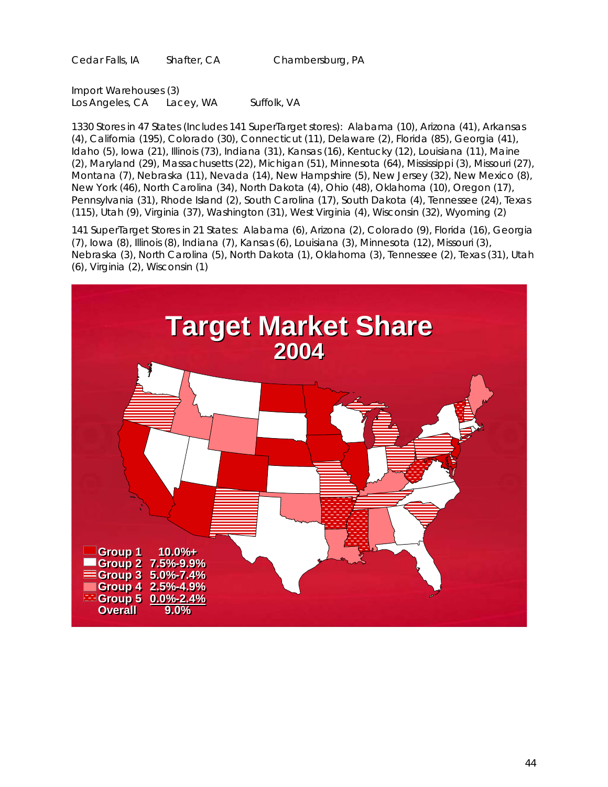Cedar Falls, IA Shafter, CA Chambersburg, PA

Import Warehouses (3) Los Angeles, CA Lacey, WA Suffolk, VA

1330 Stores in 47 States (Includes 141 SuperTarget stores): Alabama (10), Arizona (41), Arkansas (4), California (195), Colorado (30), Connecticut (11), Delaware (2), Florida (85), Georgia (41), Idaho (5), Iowa (21), Illinois (73), Indiana (31), Kansas (16), Kentucky (12), Louisiana (11), Maine (2), Maryland (29), Massachusetts (22), Michigan (51), Minnesota (64), Mississippi (3), Missouri (27), Montana (7), Nebraska (11), Nevada (14), New Hampshire (5), New Jersey (32), New Mexico (8), New York (46), North Carolina (34), North Dakota (4), Ohio (48), Oklahoma (10), Oregon (17), Pennsylvania (31), Rhode Island (2), South Carolina (17), South Dakota (4), Tennessee (24), Texas (115), Utah (9), Virginia (37), Washington (31), West Virginia (4), Wisconsin (32), Wyoming (2)

141 SuperTarget Stores in 21 States: Alabama (6), Arizona (2), Colorado (9), Florida (16), Georgia (7), Iowa (8), Illinois (8), Indiana (7), Kansas (6), Louisiana (3), Minnesota (12), Missouri (3), Nebraska (3), North Carolina (5), North Dakota (1), Oklahoma (3), Tennessee (2), Texas (31), Utah (6), Virginia (2), Wisconsin (1)

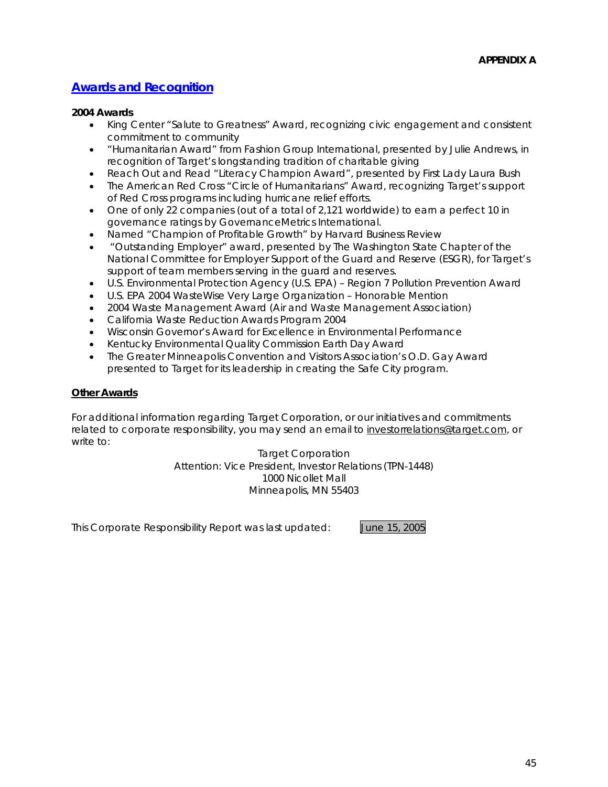# **Awards and Recognition**

### **2004 Awards**

- King Center "Salute to Greatness" Award, recognizing civic engagement and consistent commitment to community
- "Humanitarian Award" from Fashion Group International, presented by Julie Andrews, in recognition of Target's longstanding tradition of charitable giving
- Reach Out and Read "Literacy Champion Award", presented by First Lady Laura Bush
- The American Red Cross "Circle of Humanitarians" Award, recognizing Target's support of Red Cross programs including hurricane relief efforts.
- One of only 22 companies (out of a total of 2,121 worldwide) to earn a perfect 10 in governance ratings by GovernanceMetrics International.
- Named "Champion of Profitable Growth" by Harvard Business Review
- "Outstanding Employer" award, presented by The Washington State Chapter of the National Committee for Employer Support of the Guard and Reserve (ESGR), for Target's support of team members serving in the guard and reserves.
- U.S. Environmental Protection Agency (U.S. EPA) Region 7 Pollution Prevention Award
- U.S. EPA 2004 WasteWise Very Large Organization Honorable Mention
- 2004 Waste Management Award (Air and Waste Management Association)
- California Waste Reduction Awards Program 2004
- Wisconsin Governor's Award for Excellence in Environmental Performance
- Kentucky Environmental Quality Commission Earth Day Award
- The Greater Minneapolis Convention and Visitors Association's O.D. Gay Award presented to Target for its leadership in creating the Safe City program.

### **Other Awards**

For additional information regarding Target Corporation, or our initiatives and commitments related to corporate responsibility, you may send an email to investorrelations@target.com, or write to:

> Target Corporation Attention: Vice President, Investor Relations (TPN-1448) 1000 Nicollet Mall Minneapolis, MN 55403

This Corporate Responsibility Report was last updated: June 15, 2005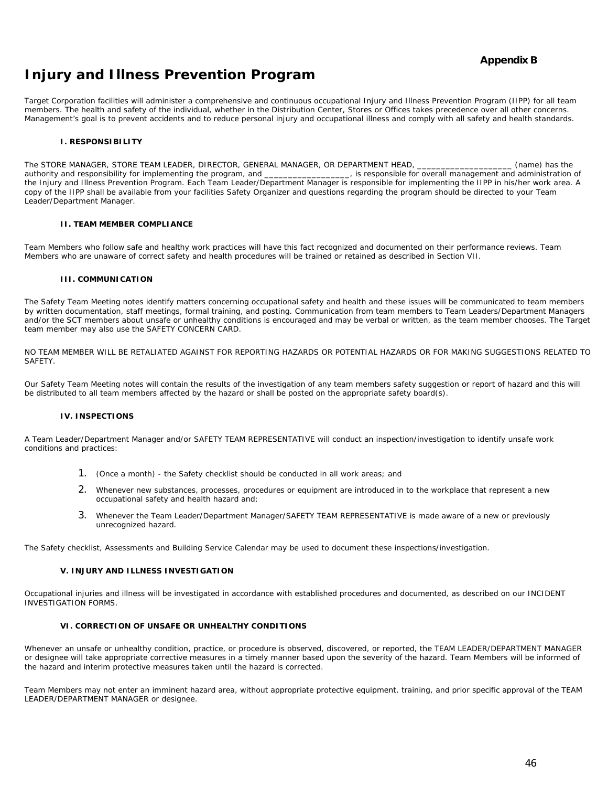### **Appendix B**

# **Injury and Illness Prevention Program**

Target Corporation facilities will administer a comprehensive and continuous occupational Injury and Illness Prevention Program (IIPP) for all team members. The health and safety of the individual, whether in the Distribution Center, Stores or Offices takes precedence over all other concerns. Management's goal is to prevent accidents and to reduce personal injury and occupational illness and comply with all safety and health standards.

#### **I. RESPONSIBILITY**

The STORE MANAGER, STORE TEAM LEADER, DIRECTOR, GENERAL MANAGER, OR DEPARTMENT HEAD, \_\_\_\_\_\_\_\_\_\_\_\_\_\_\_\_\_\_\_\_\_\_ (name) has the authority and responsibility for implementing the program, and \_\_\_\_\_\_\_\_\_\_\_\_\_\_, is responsible for o authority and responsibility for implementing the program, and \_ the Injury and Illness Prevention Program. Each Team Leader/Department Manager is responsible for implementing the IIPP in his/her work area. A copy of the IIPP shall be available from your facilities Safety Organizer and questions regarding the program should be directed to your Team Leader/Department Manager.

#### **II. TEAM MEMBER COMPLIANCE**

Team Members who follow safe and healthy work practices will have this fact recognized and documented on their performance reviews. Team Members who are unaware of correct safety and health procedures will be trained or retained as described in Section VII.

#### **III. COMMUNICATION**

The Safety Team Meeting notes identify matters concerning occupational safety and health and these issues will be communicated to team members by written documentation, staff meetings, formal training, and posting. Communication from team members to Team Leaders/Department Managers and/or the SCT members about unsafe or unhealthy conditions is encouraged and may be verbal or written, as the team member chooses. The Target team member may also use the SAFETY CONCERN CARD.

NO TEAM MEMBER WILL BE RETALIATED AGAINST FOR REPORTING HAZARDS OR POTENTIAL HAZARDS OR FOR MAKING SUGGESTIONS RELATED TO **SAFFTY** 

Our Safety Team Meeting notes will contain the results of the investigation of any team members safety suggestion or report of hazard and this will be distributed to all team members affected by the hazard or shall be posted on the appropriate safety board(s).

#### **IV. INSPECTIONS**

A Team Leader/Department Manager and/or SAFETY TEAM REPRESENTATIVE will conduct an inspection/investigation to identify unsafe work conditions and practices:

- 1. (Once a month) the Safety checklist should be conducted in all work areas; and
- 2. Whenever new substances, processes, procedures or equipment are introduced in to the workplace that represent a new occupational safety and health hazard and;
- 3. Whenever the Team Leader/Department Manager/SAFETY TEAM REPRESENTATIVE is made aware of a new or previously unrecognized hazard.

The Safety checklist, Assessments and Building Service Calendar may be used to document these inspections/investigation.

#### **V. INJURY AND ILLNESS INVESTIGATION**

Occupational injuries and illness will be investigated in accordance with established procedures and documented, as described on our INCIDENT INVESTIGATION FORMS.

#### **VI. CORRECTION OF UNSAFE OR UNHEALTHY CONDITIONS**

Whenever an unsafe or unhealthy condition, practice, or procedure is observed, discovered, or reported, the TEAM LEADER/DEPARTMENT MANAGER or designee will take appropriate corrective measures in a timely manner based upon the severity of the hazard. Team Members will be informed of the hazard and interim protective measures taken until the hazard is corrected.

Team Members may not enter an imminent hazard area, without appropriate protective equipment, training, and prior specific approval of the TEAM LEADER/DEPARTMENT MANAGER or designee.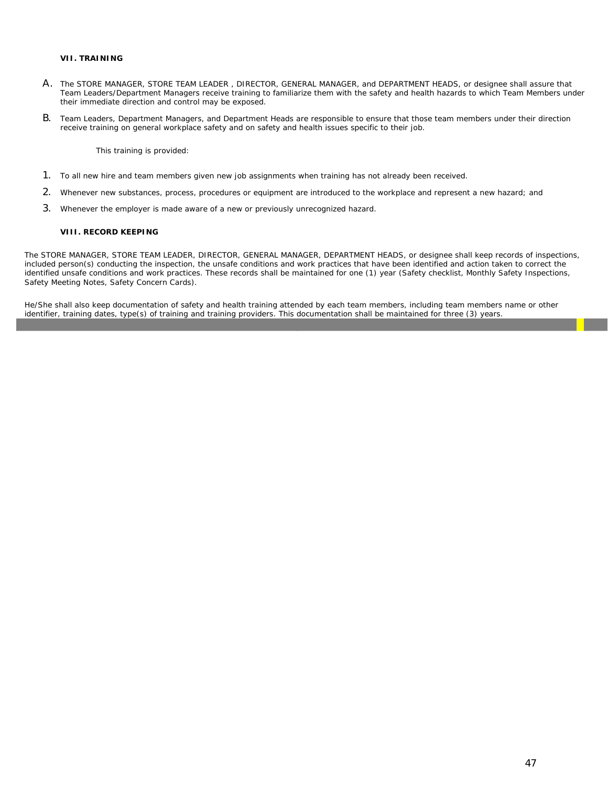#### **VII. TRAINING**

- A. The STORE MANAGER, STORE TEAM LEADER , DIRECTOR, GENERAL MANAGER, and DEPARTMENT HEADS, or designee shall assure that Team Leaders/Department Managers receive training to familiarize them with the safety and health hazards to which Team Members under their immediate direction and control may be exposed.
- B. Team Leaders, Department Managers, and Department Heads are responsible to ensure that those team members under their direction receive training on general workplace safety and on safety and health issues specific to their job.

This training is provided:

- 1. To all new hire and team members given new job assignments when training has not already been received.
- 2. Whenever new substances, process, procedures or equipment are introduced to the workplace and represent a new hazard; and
- 3. Whenever the employer is made aware of a new or previously unrecognized hazard.

#### **VIII. RECORD KEEPING**

The STORE MANAGER, STORE TEAM LEADER, DIRECTOR, GENERAL MANAGER, DEPARTMENT HEADS, or designee shall keep records of inspections, included person(s) conducting the inspection, the unsafe conditions and work practices that have been identified and action taken to correct the identified unsafe conditions and work practices. These records shall be maintained for one (1) year (Safety checklist, Monthly Safety Inspections, Safety Meeting Notes, Safety Concern Cards).

He/She shall also keep documentation of safety and health training attended by each team members, including team members name or other identifier, training dates, type(s) of training and training providers. This documentation shall be maintained for three (3) years.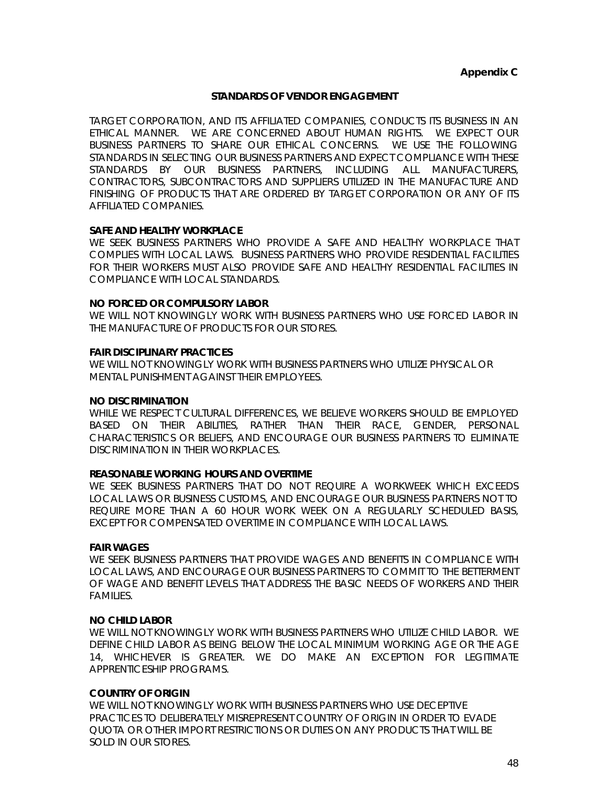### **STANDARDS OF VENDOR ENGAGEMENT**

TARGET CORPORATION, AND ITS AFFILIATED COMPANIES, CONDUCTS ITS BUSINESS IN AN ETHICAL MANNER. WE ARE CONCERNED ABOUT HUMAN RIGHTS. WE EXPECT OUR BUSINESS PARTNERS TO SHARE OUR ETHICAL CONCERNS. WE USE THE FOLLOWING STANDARDS IN SELECTING OUR BUSINESS PARTNERS AND EXPECT COMPLIANCE WITH THESE STANDARDS BY OUR BUSINESS PARTNERS, INCLUDING ALL MANUFACTURERS, CONTRACTORS, SUBCONTRACTORS AND SUPPLIERS UTILIZED IN THE MANUFACTURE AND FINISHING OF PRODUCTS THAT ARE ORDERED BY TARGET CORPORATION OR ANY OF ITS AFFILIATED COMPANIES.

### **SAFE AND HEALTHY WORKPLACE**

WE SEEK BUSINESS PARTNERS WHO PROVIDE A SAFE AND HEALTHY WORKPLACE THAT COMPLIES WITH LOCAL LAWS. BUSINESS PARTNERS WHO PROVIDE RESIDENTIAL FACILITIES FOR THEIR WORKERS MUST ALSO PROVIDE SAFE AND HEALTHY RESIDENTIAL FACILITIES IN COMPLIANCE WITH LOCAL STANDARDS.

### **NO FORCED OR COMPULSORY LABOR**

WE WILL NOT KNOWINGLY WORK WITH BUSINESS PARTNERS WHO USE FORCED LABOR IN THE MANUFACTURE OF PRODUCTS FOR OUR STORES.

### **FAIR DISCIPLINARY PRACTICES**

WE WILL NOT KNOWINGLY WORK WITH BUSINESS PARTNERS WHO UTILIZE PHYSICAL OR MENTAL PUNISHMENT AGAINST THEIR EMPLOYEES.

#### **NO DISCRIMINATION**

WHILE WE RESPECT CULTURAL DIFFERENCES, WE BELIEVE WORKERS SHOULD BE EMPLOYED BASED ON THEIR ABILITIES, RATHER THAN THEIR RACE, GENDER, PERSONAL CHARACTERISTICS OR BELIEFS, AND ENCOURAGE OUR BUSINESS PARTNERS TO ELIMINATE DISCRIMINATION IN THEIR WORKPLACES.

### **REASONABLE WORKING HOURS AND OVERTIME**

WE SEEK BUSINESS PARTNERS THAT DO NOT REQUIRE A WORKWEEK WHICH EXCEEDS LOCAL LAWS OR BUSINESS CUSTOMS, AND ENCOURAGE OUR BUSINESS PARTNERS NOT TO REQUIRE MORE THAN A 60 HOUR WORK WEEK ON A REGULARLY SCHEDULED BASIS, EXCEPT FOR COMPENSATED OVERTIME IN COMPLIANCE WITH LOCAL LAWS.

### **FAIR WAGES**

WE SEEK BUSINESS PARTNERS THAT PROVIDE WAGES AND BENEFITS IN COMPLIANCE WITH LOCAL LAWS, AND ENCOURAGE OUR BUSINESS PARTNERS TO COMMIT TO THE BETTERMENT OF WAGE AND BENEFIT LEVELS THAT ADDRESS THE BASIC NEEDS OF WORKERS AND THEIR FAMILIES.

### **NO CHILD LABOR**

WE WILL NOT KNOWINGLY WORK WITH BUSINESS PARTNERS WHO UTILIZE CHILD LABOR. WE DEFINE CHILD LABOR AS BEING BELOW THE LOCAL MINIMUM WORKING AGE OR THE AGE 14, WHICHEVER IS GREATER. WE DO MAKE AN EXCEPTION FOR LEGITIMATE APPRENTICESHIP PROGRAMS.

### **COUNTRY OF ORIGIN**

WE WILL NOT KNOWINGLY WORK WITH BUSINESS PARTNERS WHO USE DECEPTIVE PRACTICES TO DELIBERATELY MISREPRESENT COUNTRY OF ORIGIN IN ORDER TO EVADE QUOTA OR OTHER IMPORT RESTRICTIONS OR DUTIES ON ANY PRODUCTS THAT WILL BE SOLD IN OUR STORES.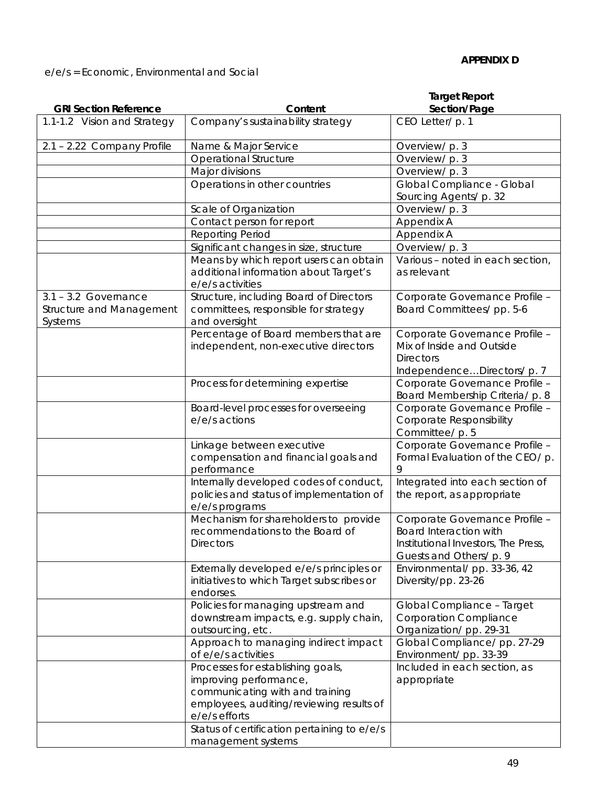e/e/s = Economic, Environmental and Social

| <b>GRI Section Reference</b>                                  | Content                                                                                                                                                                                                    | <b>Target Report</b>                                                                                                       |
|---------------------------------------------------------------|------------------------------------------------------------------------------------------------------------------------------------------------------------------------------------------------------------|----------------------------------------------------------------------------------------------------------------------------|
|                                                               |                                                                                                                                                                                                            | Section/Page                                                                                                               |
| 1.1-1.2 Vision and Strategy                                   | Company's sustainability strategy                                                                                                                                                                          | CEO Letter/ p. 1                                                                                                           |
| 2.1 - 2.22 Company Profile                                    | Name & Major Service                                                                                                                                                                                       | Overview/ p. 3                                                                                                             |
|                                                               | Operational Structure                                                                                                                                                                                      | Overview/ p. 3                                                                                                             |
|                                                               | Major divisions                                                                                                                                                                                            | Overview/ p. 3                                                                                                             |
|                                                               | Operations in other countries                                                                                                                                                                              | Global Compliance - Global                                                                                                 |
|                                                               |                                                                                                                                                                                                            | Sourcing Agents/ p. 32                                                                                                     |
|                                                               | Scale of Organization                                                                                                                                                                                      | Overview/ p. 3                                                                                                             |
|                                                               | Contact person for report                                                                                                                                                                                  | Appendix A                                                                                                                 |
|                                                               | <b>Reporting Period</b>                                                                                                                                                                                    | Appendix A                                                                                                                 |
|                                                               | Significant changes in size, structure                                                                                                                                                                     | Overview/ p. 3                                                                                                             |
|                                                               | Means by which report users can obtain<br>additional information about Target's<br>e/e/s activities                                                                                                        | Various - noted in each section,<br>as relevant                                                                            |
| $3.1 - 3.2$ Governance<br>Structure and Management<br>Systems | Structure, including Board of Directors<br>committees, responsible for strategy<br>and oversight                                                                                                           | Corporate Governance Profile -<br>Board Committees/ pp. 5-6                                                                |
|                                                               | Percentage of Board members that are<br>independent, non-executive directors                                                                                                                               | Corporate Governance Profile -<br>Mix of Inside and Outside<br><b>Directors</b><br>IndependenceDirectors/p. 7              |
|                                                               | Process for determining expertise                                                                                                                                                                          | Corporate Governance Profile -<br>Board Membership Criteria/ p. 8                                                          |
|                                                               | Board-level processes for overseeing<br>e/e/s actions                                                                                                                                                      | Corporate Governance Profile -<br>Corporate Responsibility<br>Committee/ p. 5                                              |
|                                                               | Linkage between executive<br>compensation and financial goals and                                                                                                                                          | Corporate Governance Profile -<br>Formal Evaluation of the CEO/ p.                                                         |
|                                                               | performance                                                                                                                                                                                                | 9                                                                                                                          |
|                                                               | Internally developed codes of conduct,<br>policies and status of implementation of<br>e/e/s programs                                                                                                       | Integrated into each section of<br>the report, as appropriate                                                              |
|                                                               | Mechanism for shareholders to provide<br>recommendations to the Board of<br><b>Directors</b>                                                                                                               | Corporate Governance Profile -<br>Board Interaction with<br>Institutional Investors, The Press,<br>Guests and Others/ p. 9 |
|                                                               | Externally developed e/e/s principles or<br>initiatives to which Target subscribes or<br>endorses.                                                                                                         | Environmental/pp. 33-36, 42<br>Diversity/pp. 23-26                                                                         |
|                                                               | Policies for managing upstream and<br>downstream impacts, e.g. supply chain,<br>outsourcing, etc.                                                                                                          | Global Compliance - Target<br><b>Corporation Compliance</b><br>Organization/pp. 29-31                                      |
|                                                               | Approach to managing indirect impact<br>of e/e/s activities                                                                                                                                                | Global Compliance/ pp. 27-29<br>Environment/pp. 33-39                                                                      |
|                                                               | Processes for establishing goals,<br>improving performance,<br>communicating with and training<br>employees, auditing/reviewing results of<br>e/e/s efforts<br>Status of certification pertaining to e/e/s | Included in each section, as<br>appropriate                                                                                |
|                                                               | management systems                                                                                                                                                                                         |                                                                                                                            |